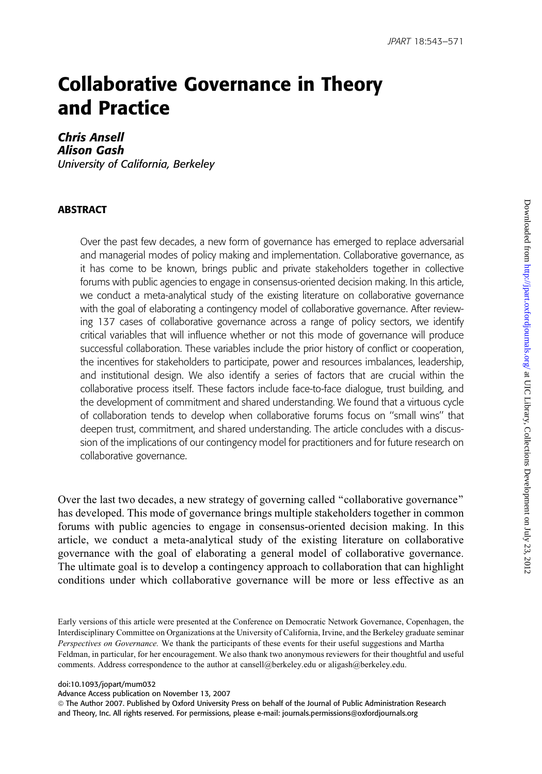# Collaborative Governance in Theory and Practice

# Chris Ansell

Alison Gash University of California, Berkeley

#### **ABSTRACT**

Over the past few decades, a new form of governance has emerged to replace adversarial and managerial modes of policy making and implementation. Collaborative governance, as it has come to be known, brings public and private stakeholders together in collective forums with public agencies to engage in consensus-oriented decision making. In this article, we conduct a meta-analytical study of the existing literature on collaborative governance with the goal of elaborating a contingency model of collaborative governance. After reviewing 137 cases of collaborative governance across a range of policy sectors, we identify critical variables that will influence whether or not this mode of governance will produce successful collaboration. These variables include the prior history of conflict or cooperation, the incentives for stakeholders to participate, power and resources imbalances, leadership, and institutional design. We also identify a series of factors that are crucial within the collaborative process itself. These factors include face-to-face dialogue, trust building, and the development of commitment and shared understanding. We found that a virtuous cycle of collaboration tends to develop when collaborative forums focus on ''small wins'' that deepen trust, commitment, and shared understanding. The article concludes with a discussion of the implications of our contingency model for practitioners and for future research on collaborative governance.

Over the last two decades, a new strategy of governing called ''collaborative governance'' has developed. This mode of governance brings multiple stakeholders together in common forums with public agencies to engage in consensus-oriented decision making. In this article, we conduct a meta-analytical study of the existing literature on collaborative governance with the goal of elaborating a general model of collaborative governance. The ultimate goal is to develop a contingency approach to collaboration that can highlight conditions under which collaborative governance will be more or less effective as an

doi:10.1093/jopart/mum032

Advance Access publication on November 13, 2007

*ª* The Author 2007. Published by Oxford University Press on behalf of the Journal of Public Administration Research and Theory, Inc. All rights reserved. For permissions, please e-mail: journals.permissions@oxfordjournals.org

Early versions of this article were presented at the Conference on Democratic Network Governance, Copenhagen, the Interdisciplinary Committee on Organizations at the University of California, Irvine, and the Berkeley graduate seminar Perspectives on Governance. We thank the participants of these events for their useful suggestions and Martha Feldman, in particular, for her encouragement. We also thank two anonymous reviewers for their thoughtful and useful comments. Address correspondence to the author at cansell@berkeley.edu or aligash@berkeley.edu.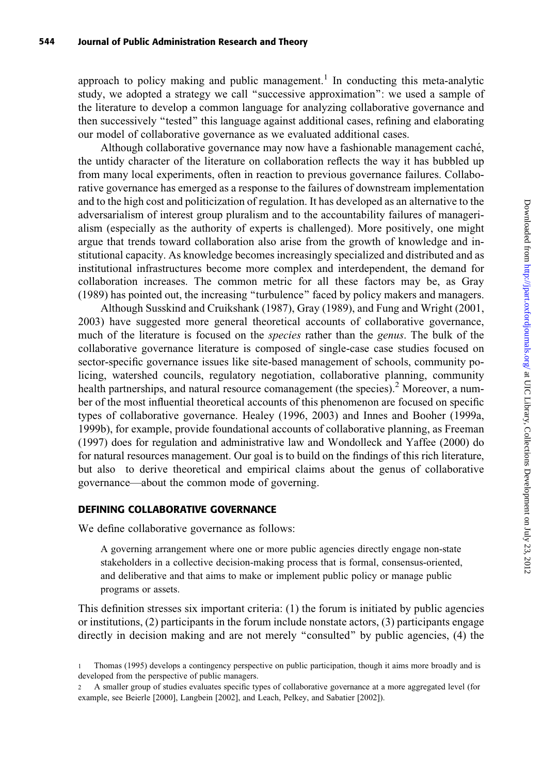approach to policy making and public management.<sup>1</sup> In conducting this meta-analytic study, we adopted a strategy we call ''successive approximation'': we used a sample of the literature to develop a common language for analyzing collaborative governance and then successively ''tested'' this language against additional cases, refining and elaborating our model of collaborative governance as we evaluated additional cases.

Although collaborative governance may now have a fashionable management caché, the untidy character of the literature on collaboration reflects the way it has bubbled up from many local experiments, often in reaction to previous governance failures. Collaborative governance has emerged as a response to the failures of downstream implementation and to the high cost and politicization of regulation. It has developed as an alternative to the adversarialism of interest group pluralism and to the accountability failures of managerialism (especially as the authority of experts is challenged). More positively, one might argue that trends toward collaboration also arise from the growth of knowledge and institutional capacity. As knowledge becomes increasingly specialized and distributed and as institutional infrastructures become more complex and interdependent, the demand for collaboration increases. The common metric for all these factors may be, as Gray (1989) has pointed out, the increasing ''turbulence'' faced by policy makers and managers.

Although Susskind and Cruikshank (1987), Gray (1989), and Fung and Wright (2001, 2003) have suggested more general theoretical accounts of collaborative governance, much of the literature is focused on the *species* rather than the *genus*. The bulk of the collaborative governance literature is composed of single-case case studies focused on sector-specific governance issues like site-based management of schools, community policing, watershed councils, regulatory negotiation, collaborative planning, community health partnerships, and natural resource comanagement (the species). Moreover, a number of the most influential theoretical accounts of this phenomenon are focused on specific types of collaborative governance. Healey (1996, 2003) and Innes and Booher (1999a, 1999b), for example, provide foundational accounts of collaborative planning, as Freeman (1997) does for regulation and administrative law and Wondolleck and Yaffee (2000) do for natural resources management. Our goal is to build on the findings of this rich literature, but also to derive theoretical and empirical claims about the genus of collaborative governance—about the common mode of governing.

## DEFINING COLLABORATIVE GOVERNANCE

We define collaborative governance as follows:

A governing arrangement where one or more public agencies directly engage non-state stakeholders in a collective decision-making process that is formal, consensus-oriented, and deliberative and that aims to make or implement public policy or manage public programs or assets.

This definition stresses six important criteria: (1) the forum is initiated by public agencies or institutions,  $(2)$  participants in the forum include nonstate actors,  $(3)$  participants engage directly in decision making and are not merely "consulted" by public agencies, (4) the

<sup>1</sup> Thomas (1995) develops a contingency perspective on public participation, though it aims more broadly and is developed from the perspective of public managers.

<sup>2</sup> A smaller group of studies evaluates specific types of collaborative governance at a more aggregated level (for example, see Beierle [2000], Langbein [2002], and Leach, Pelkey, and Sabatier [2002]).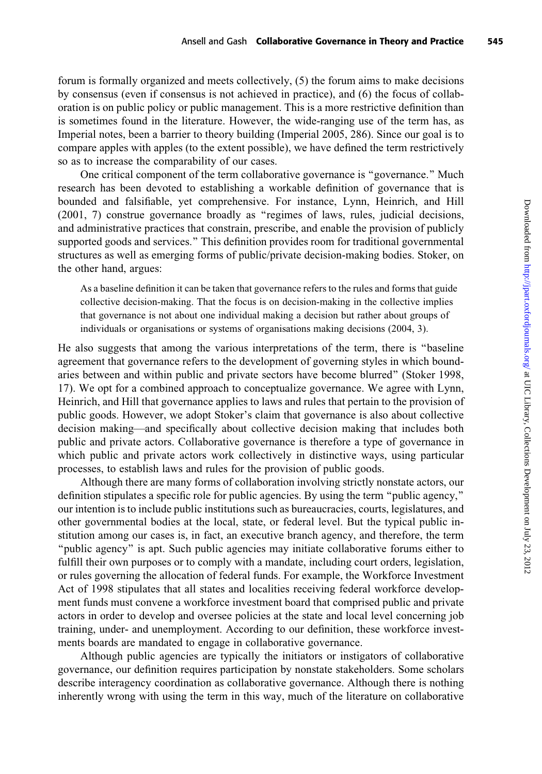forum is formally organized and meets collectively, (5) the forum aims to make decisions by consensus (even if consensus is not achieved in practice), and (6) the focus of collaboration is on public policy or public management. This is a more restrictive definition than is sometimes found in the literature. However, the wide-ranging use of the term has, as Imperial notes, been a barrier to theory building (Imperial 2005, 286). Since our goal is to compare apples with apples (to the extent possible), we have defined the term restrictively so as to increase the comparability of our cases.

One critical component of the term collaborative governance is ''governance.'' Much research has been devoted to establishing a workable definition of governance that is bounded and falsifiable, yet comprehensive. For instance, Lynn, Heinrich, and Hill (2001, 7) construe governance broadly as ''regimes of laws, rules, judicial decisions, and administrative practices that constrain, prescribe, and enable the provision of publicly supported goods and services.'' This definition provides room for traditional governmental structures as well as emerging forms of public/private decision-making bodies. Stoker, on the other hand, argues:

As a baseline definition it can be taken that governance refers to the rules and forms that guide collective decision-making. That the focus is on decision-making in the collective implies that governance is not about one individual making a decision but rather about groups of individuals or organisations or systems of organisations making decisions (2004, 3).

He also suggests that among the various interpretations of the term, there is ''baseline agreement that governance refers to the development of governing styles in which boundaries between and within public and private sectors have become blurred'' (Stoker 1998, 17). We opt for a combined approach to conceptualize governance. We agree with Lynn, Heinrich, and Hill that governance applies to laws and rules that pertain to the provision of public goods. However, we adopt Stoker's claim that governance is also about collective decision making—and specifically about collective decision making that includes both public and private actors. Collaborative governance is therefore a type of governance in which public and private actors work collectively in distinctive ways, using particular processes, to establish laws and rules for the provision of public goods.

Although there are many forms of collaboration involving strictly nonstate actors, our definition stipulates a specific role for public agencies. By using the term ''public agency,'' our intention is to include public institutions such as bureaucracies, courts, legislatures, and other governmental bodies at the local, state, or federal level. But the typical public institution among our cases is, in fact, an executive branch agency, and therefore, the term ''public agency'' is apt. Such public agencies may initiate collaborative forums either to fulfill their own purposes or to comply with a mandate, including court orders, legislation, or rules governing the allocation of federal funds. For example, the Workforce Investment Act of 1998 stipulates that all states and localities receiving federal workforce development funds must convene a workforce investment board that comprised public and private actors in order to develop and oversee policies at the state and local level concerning job training, under- and unemployment. According to our definition, these workforce investments boards are mandated to engage in collaborative governance.

Although public agencies are typically the initiators or instigators of collaborative governance, our definition requires participation by nonstate stakeholders. Some scholars describe interagency coordination as collaborative governance. Although there is nothing inherently wrong with using the term in this way, much of the literature on collaborative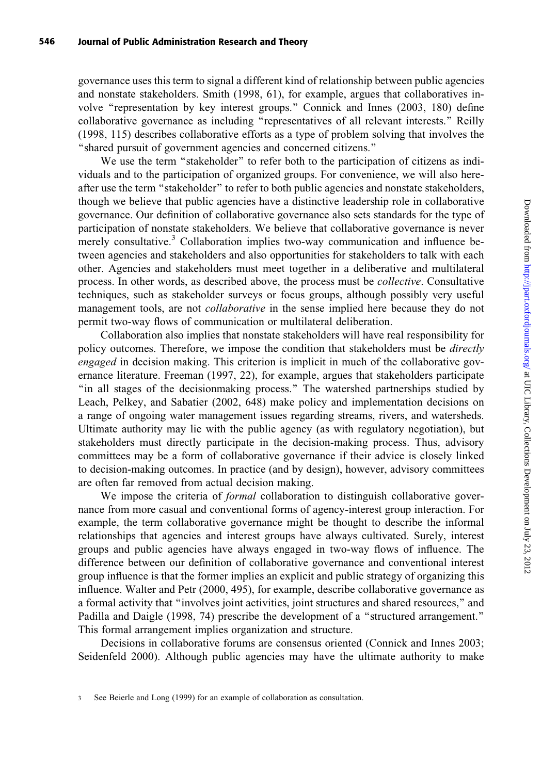governance uses this term to signal a different kind of relationship between public agencies and nonstate stakeholders. Smith (1998, 61), for example, argues that collaboratives involve ''representation by key interest groups.'' Connick and Innes (2003, 180) define collaborative governance as including ''representatives of all relevant interests.'' Reilly (1998, 115) describes collaborative efforts as a type of problem solving that involves the ''shared pursuit of government agencies and concerned citizens.''

We use the term "stakeholder" to refer both to the participation of citizens as individuals and to the participation of organized groups. For convenience, we will also hereafter use the term "stakeholder" to refer to both public agencies and nonstate stakeholders, though we believe that public agencies have a distinctive leadership role in collaborative governance. Our definition of collaborative governance also sets standards for the type of participation of nonstate stakeholders. We believe that collaborative governance is never merely consultative.<sup>3</sup> Collaboration implies two-way communication and influence between agencies and stakeholders and also opportunities for stakeholders to talk with each other. Agencies and stakeholders must meet together in a deliberative and multilateral process. In other words, as described above, the process must be collective. Consultative techniques, such as stakeholder surveys or focus groups, although possibly very useful management tools, are not *collaborative* in the sense implied here because they do not permit two-way flows of communication or multilateral deliberation.

Collaboration also implies that nonstate stakeholders will have real responsibility for policy outcomes. Therefore, we impose the condition that stakeholders must be *directly* engaged in decision making. This criterion is implicit in much of the collaborative governance literature. Freeman (1997, 22), for example, argues that stakeholders participate ''in all stages of the decisionmaking process.'' The watershed partnerships studied by Leach, Pelkey, and Sabatier (2002, 648) make policy and implementation decisions on a range of ongoing water management issues regarding streams, rivers, and watersheds. Ultimate authority may lie with the public agency (as with regulatory negotiation), but stakeholders must directly participate in the decision-making process. Thus, advisory committees may be a form of collaborative governance if their advice is closely linked to decision-making outcomes. In practice (and by design), however, advisory committees are often far removed from actual decision making.

We impose the criteria of *formal* collaboration to distinguish collaborative governance from more casual and conventional forms of agency-interest group interaction. For example, the term collaborative governance might be thought to describe the informal relationships that agencies and interest groups have always cultivated. Surely, interest groups and public agencies have always engaged in two-way flows of influence. The difference between our definition of collaborative governance and conventional interest group influence is that the former implies an explicit and public strategy of organizing this influence. Walter and Petr (2000, 495), for example, describe collaborative governance as a formal activity that ''involves joint activities, joint structures and shared resources,'' and Padilla and Daigle (1998, 74) prescribe the development of a "structured arrangement." This formal arrangement implies organization and structure.

Decisions in collaborative forums are consensus oriented (Connick and Innes 2003; Seidenfeld 2000). Although public agencies may have the ultimate authority to make

<sup>3</sup> See Beierle and Long (1999) for an example of collaboration as consultation.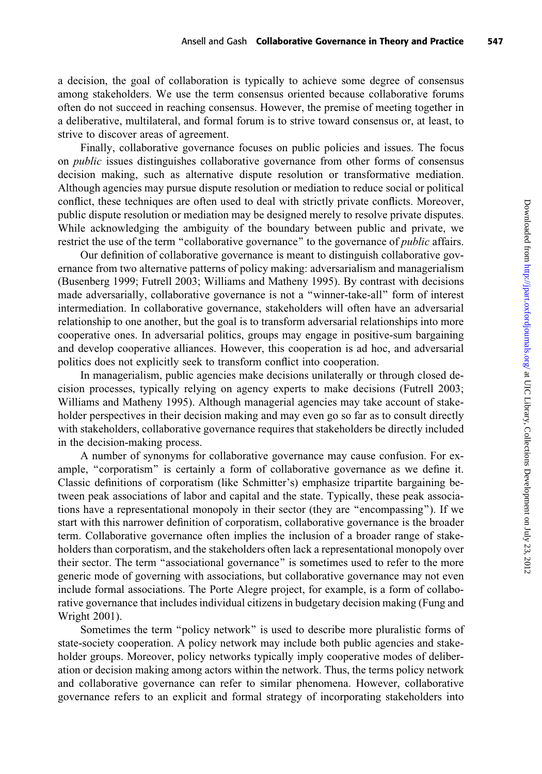a decision, the goal of collaboration is typically to achieve some degree of consensus among stakeholders. We use the term consensus oriented because collaborative forums often do not succeed in reaching consensus. However, the premise of meeting together in a deliberative, multilateral, and formal forum is to strive toward consensus or, at least, to strive to discover areas of agreement.

Finally, collaborative governance focuses on public policies and issues. The focus on *public* issues distinguishes collaborative governance from other forms of consensus decision making, such as alternative dispute resolution or transformative mediation. Although agencies may pursue dispute resolution or mediation to reduce social or political conflict, these techniques are often used to deal with strictly private conflicts. Moreover, public dispute resolution or mediation may be designed merely to resolve private disputes. While acknowledging the ambiguity of the boundary between public and private, we restrict the use of the term "collaborative governance" to the governance of *public* affairs.

Our definition of collaborative governance is meant to distinguish collaborative governance from two alternative patterns of policy making: adversarialism and managerialism (Busenberg 1999; Futrell 2003; Williams and Matheny 1995). By contrast with decisions made adversarially, collaborative governance is not a ''winner-take-all'' form of interest intermediation. In collaborative governance, stakeholders will often have an adversarial relationship to one another, but the goal is to transform adversarial relationships into more cooperative ones. In adversarial politics, groups may engage in positive-sum bargaining and develop cooperative alliances. However, this cooperation is ad hoc, and adversarial politics does not explicitly seek to transform conflict into cooperation.

In managerialism, public agencies make decisions unilaterally or through closed decision processes, typically relying on agency experts to make decisions (Futrell 2003; Williams and Matheny 1995). Although managerial agencies may take account of stakeholder perspectives in their decision making and may even go so far as to consult directly with stakeholders, collaborative governance requires that stakeholders be directly included in the decision-making process.

A number of synonyms for collaborative governance may cause confusion. For example, ''corporatism'' is certainly a form of collaborative governance as we define it. Classic definitions of corporatism (like Schmitter's) emphasize tripartite bargaining between peak associations of labor and capital and the state. Typically, these peak associations have a representational monopoly in their sector (they are ''encompassing''). If we start with this narrower definition of corporatism, collaborative governance is the broader term. Collaborative governance often implies the inclusion of a broader range of stakeholders than corporatism, and the stakeholders often lack a representational monopoly over their sector. The term ''associational governance'' is sometimes used to refer to the more generic mode of governing with associations, but collaborative governance may not even include formal associations. The Porte Alegre project, for example, is a form of collaborative governance that includes individual citizens in budgetary decision making (Fung and Wright 2001).

Sometimes the term ''policy network'' is used to describe more pluralistic forms of state-society cooperation. A policy network may include both public agencies and stakeholder groups. Moreover, policy networks typically imply cooperative modes of deliberation or decision making among actors within the network. Thus, the terms policy network and collaborative governance can refer to similar phenomena. However, collaborative governance refers to an explicit and formal strategy of incorporating stakeholders into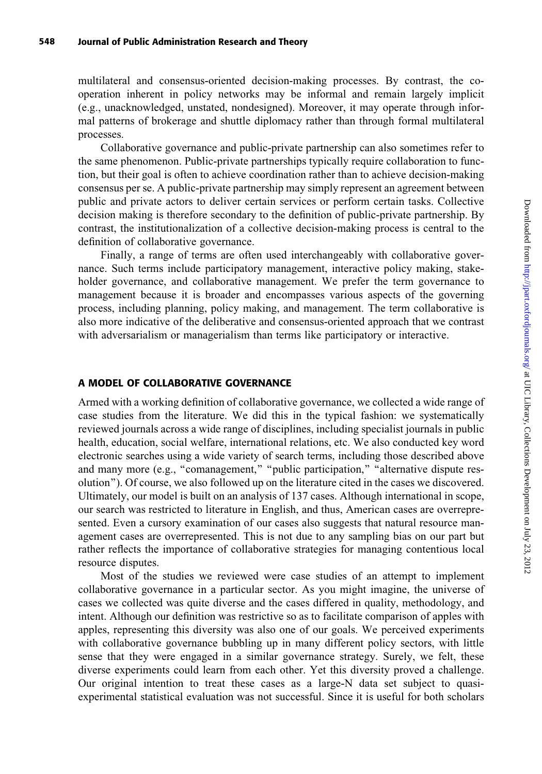multilateral and consensus-oriented decision-making processes. By contrast, the cooperation inherent in policy networks may be informal and remain largely implicit (e.g., unacknowledged, unstated, nondesigned). Moreover, it may operate through informal patterns of brokerage and shuttle diplomacy rather than through formal multilateral processes.

Collaborative governance and public-private partnership can also sometimes refer to the same phenomenon. Public-private partnerships typically require collaboration to function, but their goal is often to achieve coordination rather than to achieve decision-making consensus per se. A public-private partnership may simply represent an agreement between public and private actors to deliver certain services or perform certain tasks. Collective decision making is therefore secondary to the definition of public-private partnership. By contrast, the institutionalization of a collective decision-making process is central to the definition of collaborative governance.

Finally, a range of terms are often used interchangeably with collaborative governance. Such terms include participatory management, interactive policy making, stakeholder governance, and collaborative management. We prefer the term governance to management because it is broader and encompasses various aspects of the governing process, including planning, policy making, and management. The term collaborative is also more indicative of the deliberative and consensus-oriented approach that we contrast with adversarialism or managerialism than terms like participatory or interactive.

## A MODEL OF COLLABORATIVE GOVERNANCE

Armed with a working definition of collaborative governance, we collected a wide range of case studies from the literature. We did this in the typical fashion: we systematically reviewed journals across a wide range of disciplines, including specialist journals in public health, education, social welfare, international relations, etc. We also conducted key word electronic searches using a wide variety of search terms, including those described above and many more (e.g., "comanagement," "public participation," "alternative dispute resolution''). Of course, we also followed up on the literature cited in the cases we discovered. Ultimately, our model is built on an analysis of 137 cases. Although international in scope, our search was restricted to literature in English, and thus, American cases are overrepresented. Even a cursory examination of our cases also suggests that natural resource management cases are overrepresented. This is not due to any sampling bias on our part but rather reflects the importance of collaborative strategies for managing contentious local resource disputes.

Most of the studies we reviewed were case studies of an attempt to implement collaborative governance in a particular sector. As you might imagine, the universe of cases we collected was quite diverse and the cases differed in quality, methodology, and intent. Although our definition was restrictive so as to facilitate comparison of apples with apples, representing this diversity was also one of our goals. We perceived experiments with collaborative governance bubbling up in many different policy sectors, with little sense that they were engaged in a similar governance strategy. Surely, we felt, these diverse experiments could learn from each other. Yet this diversity proved a challenge. Our original intention to treat these cases as a large-N data set subject to quasiexperimental statistical evaluation was not successful. Since it is useful for both scholars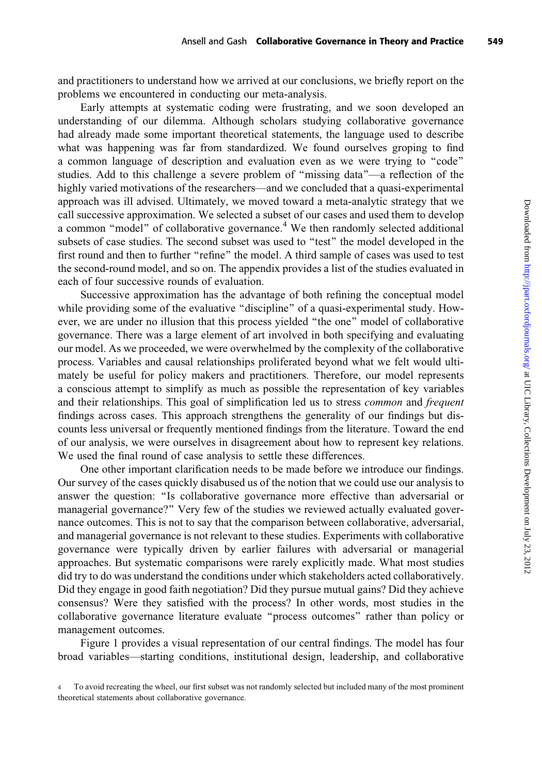and practitioners to understand how we arrived at our conclusions, we briefly report on the problems we encountered in conducting our meta-analysis.

Early attempts at systematic coding were frustrating, and we soon developed an understanding of our dilemma. Although scholars studying collaborative governance had already made some important theoretical statements, the language used to describe what was happening was far from standardized. We found ourselves groping to find a common language of description and evaluation even as we were trying to ''code'' studies. Add to this challenge a severe problem of ''missing data''—a reflection of the highly varied motivations of the researchers—and we concluded that a quasi-experimental approach was ill advised. Ultimately, we moved toward a meta-analytic strategy that we call successive approximation. We selected a subset of our cases and used them to develop a common "model" of collaborative governance.<sup>4</sup> We then randomly selected additional subsets of case studies. The second subset was used to ''test'' the model developed in the first round and then to further "refine" the model. A third sample of cases was used to test the second-round model, and so on. The appendix provides a list of the studies evaluated in each of four successive rounds of evaluation.

Successive approximation has the advantage of both refining the conceptual model while providing some of the evaluative "discipline" of a quasi-experimental study. However, we are under no illusion that this process yielded ''the one'' model of collaborative governance. There was a large element of art involved in both specifying and evaluating our model. As we proceeded, we were overwhelmed by the complexity of the collaborative process. Variables and causal relationships proliferated beyond what we felt would ultimately be useful for policy makers and practitioners. Therefore, our model represents a conscious attempt to simplify as much as possible the representation of key variables and their relationships. This goal of simplification led us to stress *common* and *frequent* findings across cases. This approach strengthens the generality of our findings but discounts less universal or frequently mentioned findings from the literature. Toward the end of our analysis, we were ourselves in disagreement about how to represent key relations. We used the final round of case analysis to settle these differences.

One other important clarification needs to be made before we introduce our findings. Our survey of the cases quickly disabused us of the notion that we could use our analysis to answer the question: ''Is collaborative governance more effective than adversarial or managerial governance?'' Very few of the studies we reviewed actually evaluated governance outcomes. This is not to say that the comparison between collaborative, adversarial, and managerial governance is not relevant to these studies. Experiments with collaborative governance were typically driven by earlier failures with adversarial or managerial approaches. But systematic comparisons were rarely explicitly made. What most studies did try to do was understand the conditions under which stakeholders acted collaboratively. Did they engage in good faith negotiation? Did they pursue mutual gains? Did they achieve consensus? Were they satisfied with the process? In other words, most studies in the collaborative governance literature evaluate ''process outcomes'' rather than policy or management outcomes.

Figure 1 provides a visual representation of our central findings. The model has four broad variables—starting conditions, institutional design, leadership, and collaborative

<sup>4</sup> To avoid recreating the wheel, our first subset was not randomly selected but included many of the most prominent theoretical statements about collaborative governance.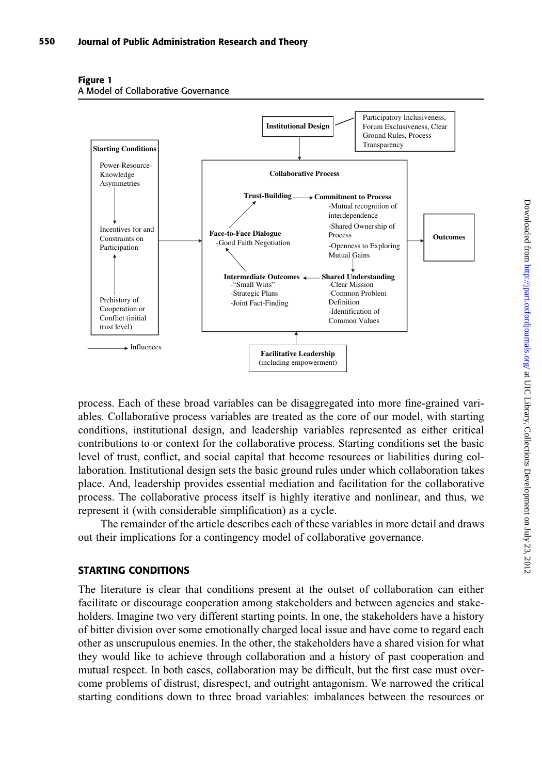

Figure 1 A Model of Collaborative Governance

process. Each of these broad variables can be disaggregated into more fine-grained variables. Collaborative process variables are treated as the core of our model, with starting conditions, institutional design, and leadership variables represented as either critical contributions to or context for the collaborative process. Starting conditions set the basic level of trust, conflict, and social capital that become resources or liabilities during collaboration. Institutional design sets the basic ground rules under which collaboration takes place. And, leadership provides essential mediation and facilitation for the collaborative process. The collaborative process itself is highly iterative and nonlinear, and thus, we represent it (with considerable simplification) as a cycle.

The remainder of the article describes each of these variables in more detail and draws out their implications for a contingency model of collaborative governance.

# STARTING CONDITIONS

The literature is clear that conditions present at the outset of collaboration can either facilitate or discourage cooperation among stakeholders and between agencies and stakeholders. Imagine two very different starting points. In one, the stakeholders have a history of bitter division over some emotionally charged local issue and have come to regard each other as unscrupulous enemies. In the other, the stakeholders have a shared vision for what they would like to achieve through collaboration and a history of past cooperation and mutual respect. In both cases, collaboration may be difficult, but the first case must overcome problems of distrust, disrespect, and outright antagonism. We narrowed the critical starting conditions down to three broad variables: imbalances between the resources or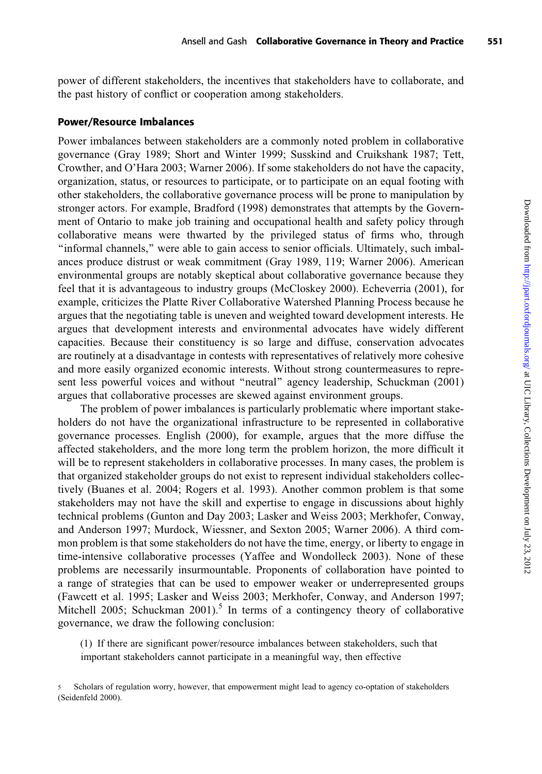power of different stakeholders, the incentives that stakeholders have to collaborate, and the past history of conflict or cooperation among stakeholders.

#### Power/Resource Imbalances

Power imbalances between stakeholders are a commonly noted problem in collaborative governance (Gray 1989; Short and Winter 1999; Susskind and Cruikshank 1987; Tett, Crowther, and O'Hara 2003; Warner 2006). If some stakeholders do not have the capacity, organization, status, or resources to participate, or to participate on an equal footing with other stakeholders, the collaborative governance process will be prone to manipulation by stronger actors. For example, Bradford (1998) demonstrates that attempts by the Government of Ontario to make job training and occupational health and safety policy through collaborative means were thwarted by the privileged status of firms who, through ''informal channels,'' were able to gain access to senior officials. Ultimately, such imbalances produce distrust or weak commitment (Gray 1989, 119; Warner 2006). American environmental groups are notably skeptical about collaborative governance because they feel that it is advantageous to industry groups (McCloskey 2000). Echeverria (2001), for example, criticizes the Platte River Collaborative Watershed Planning Process because he argues that the negotiating table is uneven and weighted toward development interests. He argues that development interests and environmental advocates have widely different capacities. Because their constituency is so large and diffuse, conservation advocates are routinely at a disadvantage in contests with representatives of relatively more cohesive and more easily organized economic interests. Without strong countermeasures to represent less powerful voices and without ''neutral'' agency leadership, Schuckman (2001) argues that collaborative processes are skewed against environment groups.

The problem of power imbalances is particularly problematic where important stakeholders do not have the organizational infrastructure to be represented in collaborative governance processes. English (2000), for example, argues that the more diffuse the affected stakeholders, and the more long term the problem horizon, the more difficult it will be to represent stakeholders in collaborative processes. In many cases, the problem is that organized stakeholder groups do not exist to represent individual stakeholders collectively (Buanes et al. 2004; Rogers et al. 1993). Another common problem is that some stakeholders may not have the skill and expertise to engage in discussions about highly technical problems (Gunton and Day 2003; Lasker and Weiss 2003; Merkhofer, Conway, and Anderson 1997; Murdock, Wiessner, and Sexton 2005; Warner 2006). A third common problem is that some stakeholders do not have the time, energy, or liberty to engage in time-intensive collaborative processes (Yaffee and Wondolleck 2003). None of these problems are necessarily insurmountable. Proponents of collaboration have pointed to a range of strategies that can be used to empower weaker or underrepresented groups (Fawcett et al. 1995; Lasker and Weiss 2003; Merkhofer, Conway, and Anderson 1997; Mitchell 2005; Schuckman 2001).<sup>5</sup> In terms of a contingency theory of collaborative governance, we draw the following conclusion:

(1) If there are significant power/resource imbalances between stakeholders, such that important stakeholders cannot participate in a meaningful way, then effective

5 Scholars of regulation worry, however, that empowerment might lead to agency co-optation of stakeholders (Seidenfeld 2000).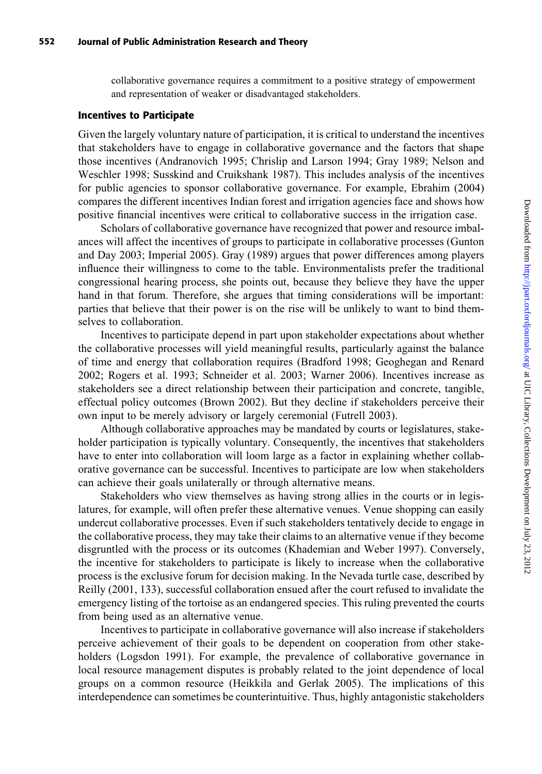collaborative governance requires a commitment to a positive strategy of empowerment and representation of weaker or disadvantaged stakeholders.

## Incentives to Participate

Given the largely voluntary nature of participation, it is critical to understand the incentives that stakeholders have to engage in collaborative governance and the factors that shape those incentives (Andranovich 1995; Chrislip and Larson 1994; Gray 1989; Nelson and Weschler 1998; Susskind and Cruikshank 1987). This includes analysis of the incentives for public agencies to sponsor collaborative governance. For example, Ebrahim (2004) compares the different incentives Indian forest and irrigation agencies face and shows how positive financial incentives were critical to collaborative success in the irrigation case.

Scholars of collaborative governance have recognized that power and resource imbalances will affect the incentives of groups to participate in collaborative processes (Gunton and Day 2003; Imperial 2005). Gray (1989) argues that power differences among players influence their willingness to come to the table. Environmentalists prefer the traditional congressional hearing process, she points out, because they believe they have the upper hand in that forum. Therefore, she argues that timing considerations will be important: parties that believe that their power is on the rise will be unlikely to want to bind themselves to collaboration.

Incentives to participate depend in part upon stakeholder expectations about whether the collaborative processes will yield meaningful results, particularly against the balance of time and energy that collaboration requires (Bradford 1998; Geoghegan and Renard 2002; Rogers et al. 1993; Schneider et al. 2003; Warner 2006). Incentives increase as stakeholders see a direct relationship between their participation and concrete, tangible, effectual policy outcomes (Brown 2002). But they decline if stakeholders perceive their own input to be merely advisory or largely ceremonial (Futrell 2003).

Although collaborative approaches may be mandated by courts or legislatures, stakeholder participation is typically voluntary. Consequently, the incentives that stakeholders have to enter into collaboration will loom large as a factor in explaining whether collaborative governance can be successful. Incentives to participate are low when stakeholders can achieve their goals unilaterally or through alternative means.

Stakeholders who view themselves as having strong allies in the courts or in legislatures, for example, will often prefer these alternative venues. Venue shopping can easily undercut collaborative processes. Even if such stakeholders tentatively decide to engage in the collaborative process, they may take their claims to an alternative venue if they become disgruntled with the process or its outcomes (Khademian and Weber 1997). Conversely, the incentive for stakeholders to participate is likely to increase when the collaborative process is the exclusive forum for decision making. In the Nevada turtle case, described by Reilly (2001, 133), successful collaboration ensued after the court refused to invalidate the emergency listing of the tortoise as an endangered species. This ruling prevented the courts from being used as an alternative venue.

Incentives to participate in collaborative governance will also increase if stakeholders perceive achievement of their goals to be dependent on cooperation from other stakeholders (Logsdon 1991). For example, the prevalence of collaborative governance in local resource management disputes is probably related to the joint dependence of local groups on a common resource (Heikkila and Gerlak 2005). The implications of this interdependence can sometimes be counterintuitive. Thus, highly antagonistic stakeholders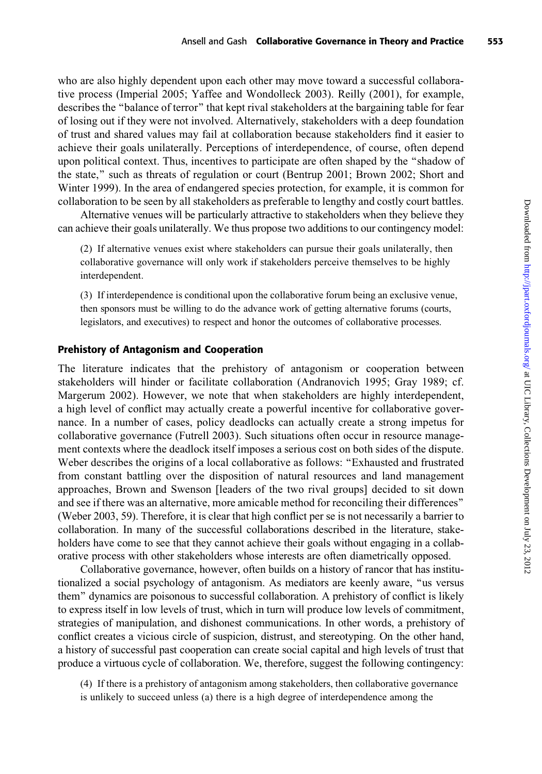who are also highly dependent upon each other may move toward a successful collaborative process (Imperial 2005; Yaffee and Wondolleck 2003). Reilly (2001), for example, describes the ''balance of terror'' that kept rival stakeholders at the bargaining table for fear of losing out if they were not involved. Alternatively, stakeholders with a deep foundation of trust and shared values may fail at collaboration because stakeholders find it easier to achieve their goals unilaterally. Perceptions of interdependence, of course, often depend upon political context. Thus, incentives to participate are often shaped by the ''shadow of the state,'' such as threats of regulation or court (Bentrup 2001; Brown 2002; Short and Winter 1999). In the area of endangered species protection, for example, it is common for collaboration to be seen by all stakeholders as preferable to lengthy and costly court battles.

Alternative venues will be particularly attractive to stakeholders when they believe they can achieve their goals unilaterally. We thus propose two additions to our contingency model:

(2) If alternative venues exist where stakeholders can pursue their goals unilaterally, then collaborative governance will only work if stakeholders perceive themselves to be highly interdependent.

(3) If interdependence is conditional upon the collaborative forum being an exclusive venue, then sponsors must be willing to do the advance work of getting alternative forums (courts, legislators, and executives) to respect and honor the outcomes of collaborative processes.

## Prehistory of Antagonism and Cooperation

The literature indicates that the prehistory of antagonism or cooperation between stakeholders will hinder or facilitate collaboration (Andranovich 1995; Gray 1989; cf. Margerum 2002). However, we note that when stakeholders are highly interdependent, a high level of conflict may actually create a powerful incentive for collaborative governance. In a number of cases, policy deadlocks can actually create a strong impetus for collaborative governance (Futrell 2003). Such situations often occur in resource management contexts where the deadlock itself imposes a serious cost on both sides of the dispute. Weber describes the origins of a local collaborative as follows: ''Exhausted and frustrated from constant battling over the disposition of natural resources and land management approaches, Brown and Swenson [leaders of the two rival groups] decided to sit down and see if there was an alternative, more amicable method for reconciling their differences'' (Weber 2003, 59). Therefore, it is clear that high conflict per se is not necessarily a barrier to collaboration. In many of the successful collaborations described in the literature, stakeholders have come to see that they cannot achieve their goals without engaging in a collaborative process with other stakeholders whose interests are often diametrically opposed.

Collaborative governance, however, often builds on a history of rancor that has institutionalized a social psychology of antagonism. As mediators are keenly aware, ''us versus them'' dynamics are poisonous to successful collaboration. A prehistory of conflict is likely to express itself in low levels of trust, which in turn will produce low levels of commitment, strategies of manipulation, and dishonest communications. In other words, a prehistory of conflict creates a vicious circle of suspicion, distrust, and stereotyping. On the other hand, a history of successful past cooperation can create social capital and high levels of trust that produce a virtuous cycle of collaboration. We, therefore, suggest the following contingency:

(4) If there is a prehistory of antagonism among stakeholders, then collaborative governance is unlikely to succeed unless (a) there is a high degree of interdependence among the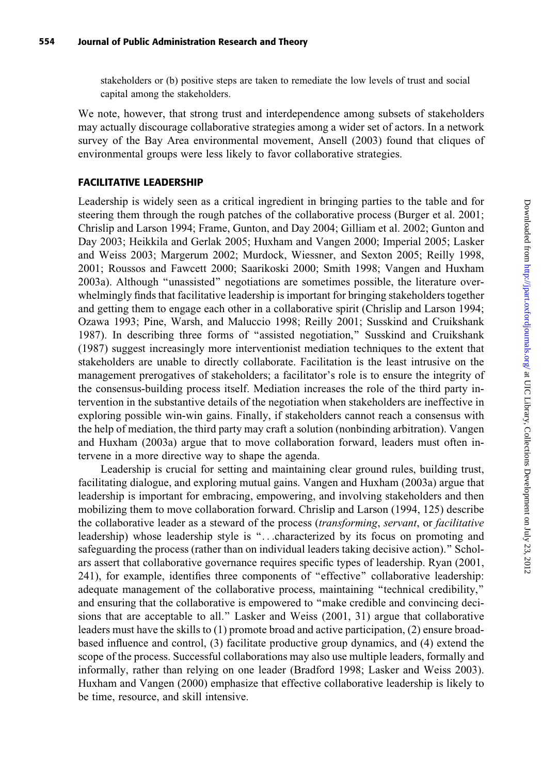stakeholders or (b) positive steps are taken to remediate the low levels of trust and social capital among the stakeholders.

We note, however, that strong trust and interdependence among subsets of stakeholders may actually discourage collaborative strategies among a wider set of actors. In a network survey of the Bay Area environmental movement, Ansell (2003) found that cliques of environmental groups were less likely to favor collaborative strategies.

# FACILITATIVE LEADERSHIP

Leadership is widely seen as a critical ingredient in bringing parties to the table and for steering them through the rough patches of the collaborative process (Burger et al. 2001; Chrislip and Larson 1994; Frame, Gunton, and Day 2004; Gilliam et al. 2002; Gunton and Day 2003; Heikkila and Gerlak 2005; Huxham and Vangen 2000; Imperial 2005; Lasker and Weiss 2003; Margerum 2002; Murdock, Wiessner, and Sexton 2005; Reilly 1998, 2001; Roussos and Fawcett 2000; Saarikoski 2000; Smith 1998; Vangen and Huxham 2003a). Although ''unassisted'' negotiations are sometimes possible, the literature overwhelmingly finds that facilitative leadership is important for bringing stakeholders together and getting them to engage each other in a collaborative spirit (Chrislip and Larson 1994; Ozawa 1993; Pine, Warsh, and Maluccio 1998; Reilly 2001; Susskind and Cruikshank 1987). In describing three forms of ''assisted negotiation,'' Susskind and Cruikshank (1987) suggest increasingly more interventionist mediation techniques to the extent that stakeholders are unable to directly collaborate. Facilitation is the least intrusive on the management prerogatives of stakeholders; a facilitator's role is to ensure the integrity of the consensus-building process itself. Mediation increases the role of the third party intervention in the substantive details of the negotiation when stakeholders are ineffective in exploring possible win-win gains. Finally, if stakeholders cannot reach a consensus with the help of mediation, the third party may craft a solution (nonbinding arbitration). Vangen and Huxham (2003a) argue that to move collaboration forward, leaders must often intervene in a more directive way to shape the agenda.

Leadership is crucial for setting and maintaining clear ground rules, building trust, facilitating dialogue, and exploring mutual gains. Vangen and Huxham (2003a) argue that leadership is important for embracing, empowering, and involving stakeholders and then mobilizing them to move collaboration forward. Chrislip and Larson (1994, 125) describe the collaborative leader as a steward of the process (transforming, servant, or facilitative leadership) whose leadership style is ''...characterized by its focus on promoting and safeguarding the process (rather than on individual leaders taking decisive action).'' Scholars assert that collaborative governance requires specific types of leadership. Ryan (2001, 241), for example, identifies three components of ''effective'' collaborative leadership: adequate management of the collaborative process, maintaining ''technical credibility,'' and ensuring that the collaborative is empowered to ''make credible and convincing decisions that are acceptable to all.'' Lasker and Weiss (2001, 31) argue that collaborative leaders must have the skills to (1) promote broad and active participation, (2) ensure broadbased influence and control, (3) facilitate productive group dynamics, and (4) extend the scope of the process. Successful collaborations may also use multiple leaders, formally and informally, rather than relying on one leader (Bradford 1998; Lasker and Weiss 2003). Huxham and Vangen (2000) emphasize that effective collaborative leadership is likely to be time, resource, and skill intensive.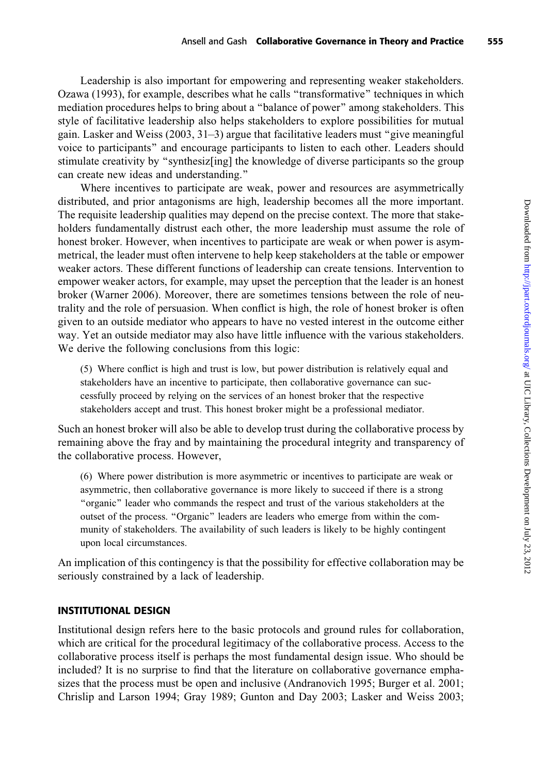Leadership is also important for empowering and representing weaker stakeholders. Ozawa (1993), for example, describes what he calls ''transformative'' techniques in which mediation procedures helps to bring about a ''balance of power'' among stakeholders. This style of facilitative leadership also helps stakeholders to explore possibilities for mutual gain. Lasker and Weiss (2003, 31–3) argue that facilitative leaders must ''give meaningful voice to participants'' and encourage participants to listen to each other. Leaders should stimulate creativity by ''synthesiz[ing] the knowledge of diverse participants so the group can create new ideas and understanding.''

Where incentives to participate are weak, power and resources are asymmetrically distributed, and prior antagonisms are high, leadership becomes all the more important. The requisite leadership qualities may depend on the precise context. The more that stakeholders fundamentally distrust each other, the more leadership must assume the role of honest broker. However, when incentives to participate are weak or when power is asymmetrical, the leader must often intervene to help keep stakeholders at the table or empower weaker actors. These different functions of leadership can create tensions. Intervention to empower weaker actors, for example, may upset the perception that the leader is an honest broker (Warner 2006). Moreover, there are sometimes tensions between the role of neutrality and the role of persuasion. When conflict is high, the role of honest broker is often given to an outside mediator who appears to have no vested interest in the outcome either way. Yet an outside mediator may also have little influence with the various stakeholders. We derive the following conclusions from this logic:

(5) Where conflict is high and trust is low, but power distribution is relatively equal and stakeholders have an incentive to participate, then collaborative governance can successfully proceed by relying on the services of an honest broker that the respective stakeholders accept and trust. This honest broker might be a professional mediator.

Such an honest broker will also be able to develop trust during the collaborative process by remaining above the fray and by maintaining the procedural integrity and transparency of the collaborative process. However,

(6) Where power distribution is more asymmetric or incentives to participate are weak or asymmetric, then collaborative governance is more likely to succeed if there is a strong ''organic'' leader who commands the respect and trust of the various stakeholders at the outset of the process. "Organic" leaders are leaders who emerge from within the community of stakeholders. The availability of such leaders is likely to be highly contingent upon local circumstances.

An implication of this contingency is that the possibility for effective collaboration may be seriously constrained by a lack of leadership.

## INSTITUTIONAL DESIGN

Institutional design refers here to the basic protocols and ground rules for collaboration, which are critical for the procedural legitimacy of the collaborative process. Access to the collaborative process itself is perhaps the most fundamental design issue. Who should be included? It is no surprise to find that the literature on collaborative governance emphasizes that the process must be open and inclusive (Andranovich 1995; Burger et al. 2001; Chrislip and Larson 1994; Gray 1989; Gunton and Day 2003; Lasker and Weiss 2003;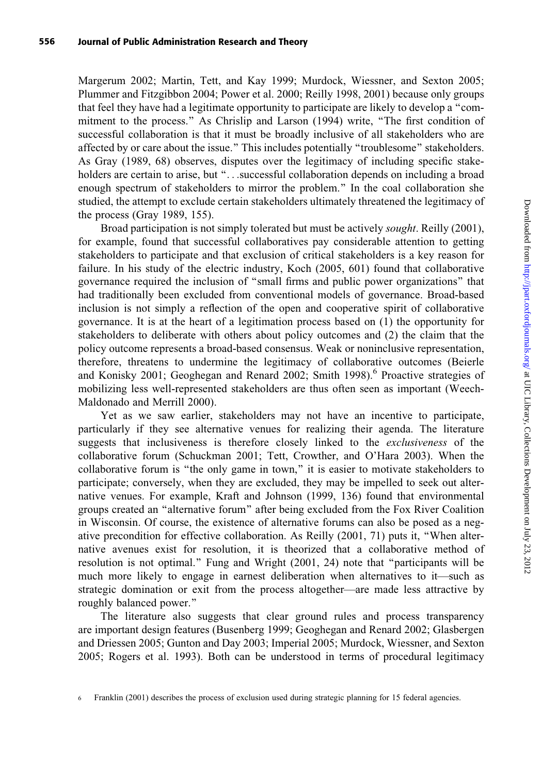Margerum 2002; Martin, Tett, and Kay 1999; Murdock, Wiessner, and Sexton 2005; Plummer and Fitzgibbon 2004; Power et al. 2000; Reilly 1998, 2001) because only groups that feel they have had a legitimate opportunity to participate are likely to develop a ''commitment to the process.'' As Chrislip and Larson (1994) write, ''The first condition of successful collaboration is that it must be broadly inclusive of all stakeholders who are affected by or care about the issue.'' This includes potentially ''troublesome'' stakeholders. As Gray (1989, 68) observes, disputes over the legitimacy of including specific stakeholders are certain to arise, but "...successful collaboration depends on including a broad enough spectrum of stakeholders to mirror the problem.'' In the coal collaboration she studied, the attempt to exclude certain stakeholders ultimately threatened the legitimacy of the process (Gray 1989, 155).

Broad participation is not simply tolerated but must be actively *sought*. Reilly (2001), for example, found that successful collaboratives pay considerable attention to getting stakeholders to participate and that exclusion of critical stakeholders is a key reason for failure. In his study of the electric industry, Koch (2005, 601) found that collaborative governance required the inclusion of ''small firms and public power organizations'' that had traditionally been excluded from conventional models of governance. Broad-based inclusion is not simply a reflection of the open and cooperative spirit of collaborative governance. It is at the heart of a legitimation process based on (1) the opportunity for stakeholders to deliberate with others about policy outcomes and (2) the claim that the policy outcome represents a broad-based consensus. Weak or noninclusive representation, therefore, threatens to undermine the legitimacy of collaborative outcomes (Beierle and Konisky 2001; Geoghegan and Renard 2002; Smith 1998).<sup>6</sup> Proactive strategies of mobilizing less well-represented stakeholders are thus often seen as important (Weech-Maldonado and Merrill 2000).

Yet as we saw earlier, stakeholders may not have an incentive to participate, particularly if they see alternative venues for realizing their agenda. The literature suggests that inclusiveness is therefore closely linked to the exclusiveness of the collaborative forum (Schuckman 2001; Tett, Crowther, and O'Hara 2003). When the collaborative forum is ''the only game in town,'' it is easier to motivate stakeholders to participate; conversely, when they are excluded, they may be impelled to seek out alternative venues. For example, Kraft and Johnson (1999, 136) found that environmental groups created an ''alternative forum'' after being excluded from the Fox River Coalition in Wisconsin. Of course, the existence of alternative forums can also be posed as a negative precondition for effective collaboration. As Reilly (2001, 71) puts it, ''When alternative avenues exist for resolution, it is theorized that a collaborative method of resolution is not optimal.'' Fung and Wright (2001, 24) note that ''participants will be much more likely to engage in earnest deliberation when alternatives to it—such as strategic domination or exit from the process altogether—are made less attractive by roughly balanced power.''

The literature also suggests that clear ground rules and process transparency are important design features (Busenberg 1999; Geoghegan and Renard 2002; Glasbergen and Driessen 2005; Gunton and Day 2003; Imperial 2005; Murdock, Wiessner, and Sexton 2005; Rogers et al. 1993). Both can be understood in terms of procedural legitimacy

6 Franklin (2001) describes the process of exclusion used during strategic planning for 15 federal agencies.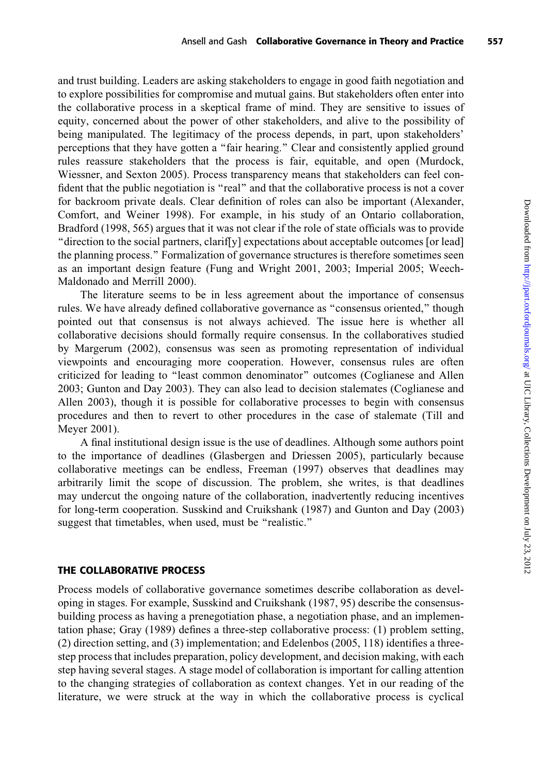and trust building. Leaders are asking stakeholders to engage in good faith negotiation and to explore possibilities for compromise and mutual gains. But stakeholders often enter into the collaborative process in a skeptical frame of mind. They are sensitive to issues of equity, concerned about the power of other stakeholders, and alive to the possibility of being manipulated. The legitimacy of the process depends, in part, upon stakeholders' perceptions that they have gotten a ''fair hearing.'' Clear and consistently applied ground rules reassure stakeholders that the process is fair, equitable, and open (Murdock, Wiessner, and Sexton 2005). Process transparency means that stakeholders can feel confident that the public negotiation is "real" and that the collaborative process is not a cover for backroom private deals. Clear definition of roles can also be important (Alexander, Comfort, and Weiner 1998). For example, in his study of an Ontario collaboration, Bradford (1998, 565) argues that it was not clear if the role of state officials was to provide ''direction to the social partners, clarif[y] expectations about acceptable outcomes [or lead] the planning process.'' Formalization of governance structures is therefore sometimes seen as an important design feature (Fung and Wright 2001, 2003; Imperial 2005; Weech-Maldonado and Merrill 2000).

The literature seems to be in less agreement about the importance of consensus rules. We have already defined collaborative governance as ''consensus oriented,'' though pointed out that consensus is not always achieved. The issue here is whether all collaborative decisions should formally require consensus. In the collaboratives studied by Margerum (2002), consensus was seen as promoting representation of individual viewpoints and encouraging more cooperation. However, consensus rules are often criticized for leading to ''least common denominator'' outcomes (Coglianese and Allen 2003; Gunton and Day 2003). They can also lead to decision stalemates (Coglianese and Allen 2003), though it is possible for collaborative processes to begin with consensus procedures and then to revert to other procedures in the case of stalemate (Till and Meyer 2001).

A final institutional design issue is the use of deadlines. Although some authors point to the importance of deadlines (Glasbergen and Driessen 2005), particularly because collaborative meetings can be endless, Freeman (1997) observes that deadlines may arbitrarily limit the scope of discussion. The problem, she writes, is that deadlines may undercut the ongoing nature of the collaboration, inadvertently reducing incentives for long-term cooperation. Susskind and Cruikshank (1987) and Gunton and Day (2003) suggest that timetables, when used, must be "realistic."

# THE COLLABORATIVE PROCESS

Process models of collaborative governance sometimes describe collaboration as developing in stages. For example, Susskind and Cruikshank (1987, 95) describe the consensusbuilding process as having a prenegotiation phase, a negotiation phase, and an implementation phase; Gray (1989) defines a three-step collaborative process: (1) problem setting, (2) direction setting, and (3) implementation; and Edelenbos (2005, 118) identifies a threestep process that includes preparation, policy development, and decision making, with each step having several stages. A stage model of collaboration is important for calling attention to the changing strategies of collaboration as context changes. Yet in our reading of the literature, we were struck at the way in which the collaborative process is cyclical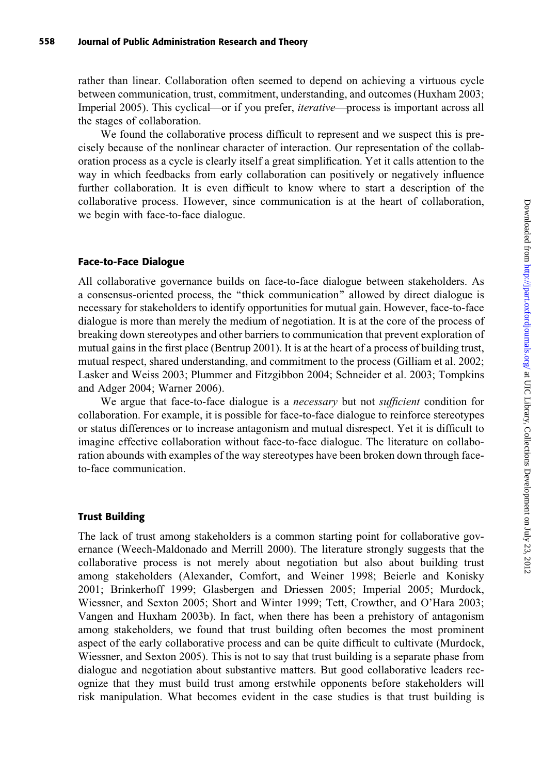rather than linear. Collaboration often seemed to depend on achieving a virtuous cycle between communication, trust, commitment, understanding, and outcomes (Huxham 2003; Imperial 2005). This cyclical—or if you prefer, iterative—process is important across all the stages of collaboration.

We found the collaborative process difficult to represent and we suspect this is precisely because of the nonlinear character of interaction. Our representation of the collaboration process as a cycle is clearly itself a great simplification. Yet it calls attention to the way in which feedbacks from early collaboration can positively or negatively influence further collaboration. It is even difficult to know where to start a description of the collaborative process. However, since communication is at the heart of collaboration, we begin with face-to-face dialogue.

# Face-to-Face Dialogue

All collaborative governance builds on face-to-face dialogue between stakeholders. As a consensus-oriented process, the ''thick communication'' allowed by direct dialogue is necessary for stakeholders to identify opportunities for mutual gain. However, face-to-face dialogue is more than merely the medium of negotiation. It is at the core of the process of breaking down stereotypes and other barriers to communication that prevent exploration of mutual gains in the first place (Bentrup 2001). It is at the heart of a process of building trust, mutual respect, shared understanding, and commitment to the process (Gilliam et al. 2002; Lasker and Weiss 2003; Plummer and Fitzgibbon 2004; Schneider et al. 2003; Tompkins and Adger 2004; Warner 2006).

We argue that face-to-face dialogue is a *necessary* but not *sufficient* condition for collaboration. For example, it is possible for face-to-face dialogue to reinforce stereotypes or status differences or to increase antagonism and mutual disrespect. Yet it is difficult to imagine effective collaboration without face-to-face dialogue. The literature on collaboration abounds with examples of the way stereotypes have been broken down through faceto-face communication.

# Trust Building

The lack of trust among stakeholders is a common starting point for collaborative governance (Weech-Maldonado and Merrill 2000). The literature strongly suggests that the collaborative process is not merely about negotiation but also about building trust among stakeholders (Alexander, Comfort, and Weiner 1998; Beierle and Konisky 2001; Brinkerhoff 1999; Glasbergen and Driessen 2005; Imperial 2005; Murdock, Wiessner, and Sexton 2005; Short and Winter 1999; Tett, Crowther, and O'Hara 2003; Vangen and Huxham 2003b). In fact, when there has been a prehistory of antagonism among stakeholders, we found that trust building often becomes the most prominent aspect of the early collaborative process and can be quite difficult to cultivate (Murdock, Wiessner, and Sexton 2005). This is not to say that trust building is a separate phase from dialogue and negotiation about substantive matters. But good collaborative leaders recognize that they must build trust among erstwhile opponents before stakeholders will risk manipulation. What becomes evident in the case studies is that trust building is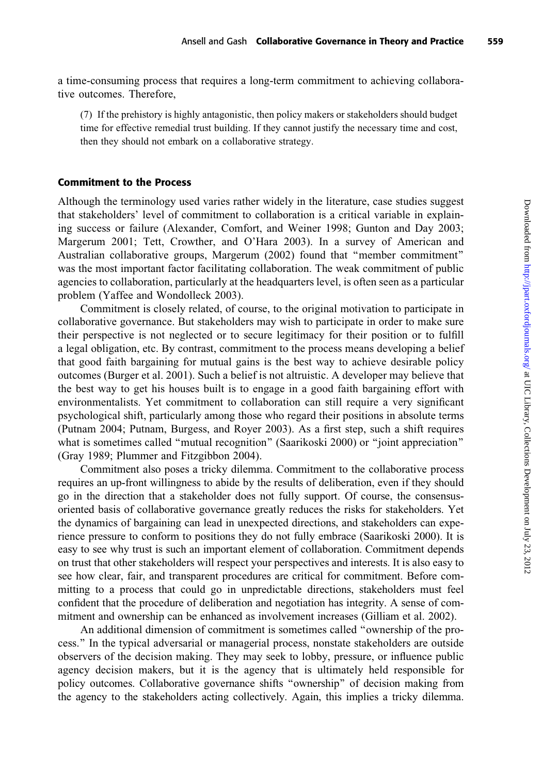a time-consuming process that requires a long-term commitment to achieving collaborative outcomes. Therefore,

(7) If the prehistory is highly antagonistic, then policy makers or stakeholders should budget time for effective remedial trust building. If they cannot justify the necessary time and cost, then they should not embark on a collaborative strategy.

#### Commitment to the Process

Although the terminology used varies rather widely in the literature, case studies suggest that stakeholders' level of commitment to collaboration is a critical variable in explaining success or failure (Alexander, Comfort, and Weiner 1998; Gunton and Day 2003; Margerum 2001; Tett, Crowther, and O'Hara 2003). In a survey of American and Australian collaborative groups, Margerum (2002) found that ''member commitment'' was the most important factor facilitating collaboration. The weak commitment of public agencies to collaboration, particularly at the headquarters level, is often seen as a particular problem (Yaffee and Wondolleck 2003).

Commitment is closely related, of course, to the original motivation to participate in collaborative governance. But stakeholders may wish to participate in order to make sure their perspective is not neglected or to secure legitimacy for their position or to fulfill a legal obligation, etc. By contrast, commitment to the process means developing a belief that good faith bargaining for mutual gains is the best way to achieve desirable policy outcomes (Burger et al. 2001). Such a belief is not altruistic. A developer may believe that the best way to get his houses built is to engage in a good faith bargaining effort with environmentalists. Yet commitment to collaboration can still require a very significant psychological shift, particularly among those who regard their positions in absolute terms (Putnam 2004; Putnam, Burgess, and Royer 2003). As a first step, such a shift requires what is sometimes called "mutual recognition" (Saarikoski 2000) or "joint appreciation" (Gray 1989; Plummer and Fitzgibbon 2004).

Commitment also poses a tricky dilemma. Commitment to the collaborative process requires an up-front willingness to abide by the results of deliberation, even if they should go in the direction that a stakeholder does not fully support. Of course, the consensusoriented basis of collaborative governance greatly reduces the risks for stakeholders. Yet the dynamics of bargaining can lead in unexpected directions, and stakeholders can experience pressure to conform to positions they do not fully embrace (Saarikoski 2000). It is easy to see why trust is such an important element of collaboration. Commitment depends on trust that other stakeholders will respect your perspectives and interests. It is also easy to see how clear, fair, and transparent procedures are critical for commitment. Before committing to a process that could go in unpredictable directions, stakeholders must feel confident that the procedure of deliberation and negotiation has integrity. A sense of commitment and ownership can be enhanced as involvement increases (Gilliam et al. 2002).

An additional dimension of commitment is sometimes called ''ownership of the process.'' In the typical adversarial or managerial process, nonstate stakeholders are outside observers of the decision making. They may seek to lobby, pressure, or influence public agency decision makers, but it is the agency that is ultimately held responsible for policy outcomes. Collaborative governance shifts ''ownership'' of decision making from the agency to the stakeholders acting collectively. Again, this implies a tricky dilemma.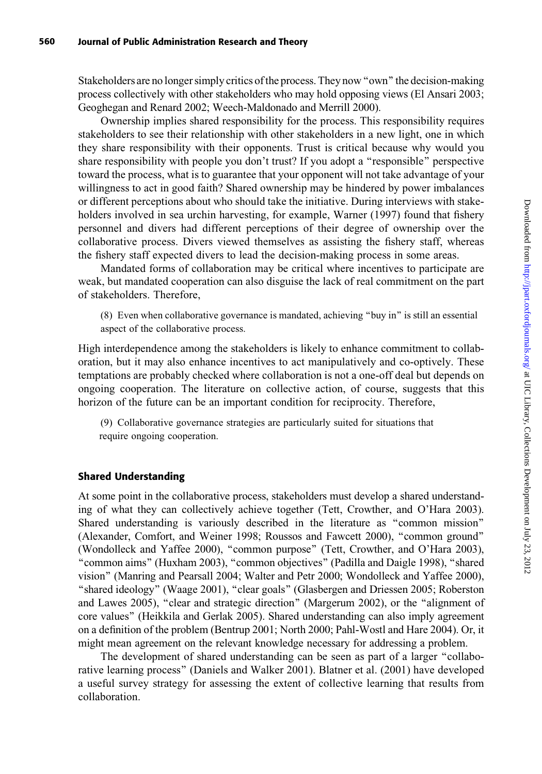Stakeholders are no longer simply critics of the process. They now "own" the decision-making process collectively with other stakeholders who may hold opposing views (El Ansari 2003; Geoghegan and Renard 2002; Weech-Maldonado and Merrill 2000).

Ownership implies shared responsibility for the process. This responsibility requires stakeholders to see their relationship with other stakeholders in a new light, one in which they share responsibility with their opponents. Trust is critical because why would you share responsibility with people you don't trust? If you adopt a ''responsible'' perspective toward the process, what is to guarantee that your opponent will not take advantage of your willingness to act in good faith? Shared ownership may be hindered by power imbalances or different perceptions about who should take the initiative. During interviews with stakeholders involved in sea urchin harvesting, for example, Warner (1997) found that fishery personnel and divers had different perceptions of their degree of ownership over the collaborative process. Divers viewed themselves as assisting the fishery staff, whereas the fishery staff expected divers to lead the decision-making process in some areas.

Mandated forms of collaboration may be critical where incentives to participate are weak, but mandated cooperation can also disguise the lack of real commitment on the part of stakeholders. Therefore,

(8) Even when collaborative governance is mandated, achieving ''buy in'' is still an essential aspect of the collaborative process.

High interdependence among the stakeholders is likely to enhance commitment to collaboration, but it may also enhance incentives to act manipulatively and co-optively. These temptations are probably checked where collaboration is not a one-off deal but depends on ongoing cooperation. The literature on collective action, of course, suggests that this horizon of the future can be an important condition for reciprocity. Therefore,

(9) Collaborative governance strategies are particularly suited for situations that require ongoing cooperation.

## Shared Understanding

At some point in the collaborative process, stakeholders must develop a shared understanding of what they can collectively achieve together (Tett, Crowther, and O'Hara 2003). Shared understanding is variously described in the literature as ''common mission'' (Alexander, Comfort, and Weiner 1998; Roussos and Fawcett 2000), ''common ground'' (Wondolleck and Yaffee 2000), ''common purpose'' (Tett, Crowther, and O'Hara 2003), ''common aims'' (Huxham 2003), ''common objectives'' (Padilla and Daigle 1998), ''shared vision'' (Manring and Pearsall 2004; Walter and Petr 2000; Wondolleck and Yaffee 2000), ''shared ideology'' (Waage 2001), ''clear goals'' (Glasbergen and Driessen 2005; Roberston and Lawes 2005), "clear and strategic direction" (Margerum 2002), or the "alignment of core values'' (Heikkila and Gerlak 2005). Shared understanding can also imply agreement on a definition of the problem (Bentrup 2001; North 2000; Pahl-Wostl and Hare 2004). Or, it might mean agreement on the relevant knowledge necessary for addressing a problem.

The development of shared understanding can be seen as part of a larger ''collaborative learning process'' (Daniels and Walker 2001). Blatner et al. (2001) have developed a useful survey strategy for assessing the extent of collective learning that results from collaboration.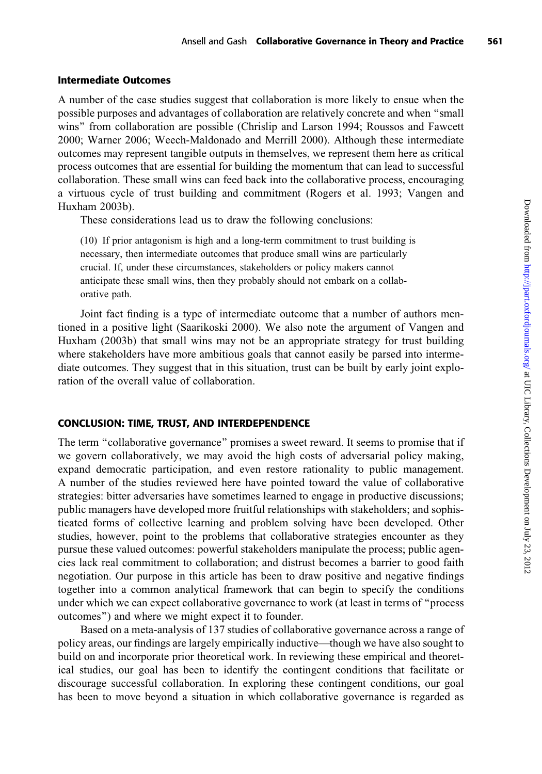## Intermediate Outcomes

A number of the case studies suggest that collaboration is more likely to ensue when the possible purposes and advantages of collaboration are relatively concrete and when ''small wins'' from collaboration are possible (Chrislip and Larson 1994; Roussos and Fawcett 2000; Warner 2006; Weech-Maldonado and Merrill 2000). Although these intermediate outcomes may represent tangible outputs in themselves, we represent them here as critical process outcomes that are essential for building the momentum that can lead to successful collaboration. These small wins can feed back into the collaborative process, encouraging a virtuous cycle of trust building and commitment (Rogers et al. 1993; Vangen and Huxham 2003b).

These considerations lead us to draw the following conclusions:

(10) If prior antagonism is high and a long-term commitment to trust building is necessary, then intermediate outcomes that produce small wins are particularly crucial. If, under these circumstances, stakeholders or policy makers cannot anticipate these small wins, then they probably should not embark on a collaborative path.

Joint fact finding is a type of intermediate outcome that a number of authors mentioned in a positive light (Saarikoski 2000). We also note the argument of Vangen and Huxham (2003b) that small wins may not be an appropriate strategy for trust building where stakeholders have more ambitious goals that cannot easily be parsed into intermediate outcomes. They suggest that in this situation, trust can be built by early joint exploration of the overall value of collaboration.

# CONCLUSION: TIME, TRUST, AND INTERDEPENDENCE

The term "collaborative governance" promises a sweet reward. It seems to promise that if we govern collaboratively, we may avoid the high costs of adversarial policy making, expand democratic participation, and even restore rationality to public management. A number of the studies reviewed here have pointed toward the value of collaborative strategies: bitter adversaries have sometimes learned to engage in productive discussions; public managers have developed more fruitful relationships with stakeholders; and sophisticated forms of collective learning and problem solving have been developed. Other studies, however, point to the problems that collaborative strategies encounter as they pursue these valued outcomes: powerful stakeholders manipulate the process; public agencies lack real commitment to collaboration; and distrust becomes a barrier to good faith negotiation. Our purpose in this article has been to draw positive and negative findings together into a common analytical framework that can begin to specify the conditions under which we can expect collaborative governance to work (at least in terms of ''process outcomes'') and where we might expect it to founder.

Based on a meta-analysis of 137 studies of collaborative governance across a range of policy areas, our findings are largely empirically inductive—though we have also sought to build on and incorporate prior theoretical work. In reviewing these empirical and theoretical studies, our goal has been to identify the contingent conditions that facilitate or discourage successful collaboration. In exploring these contingent conditions, our goal has been to move beyond a situation in which collaborative governance is regarded as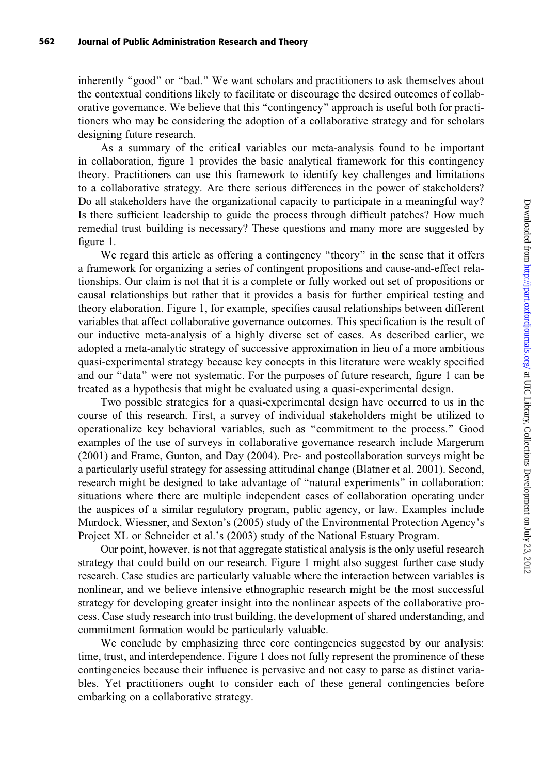inherently ''good'' or ''bad.'' We want scholars and practitioners to ask themselves about the contextual conditions likely to facilitate or discourage the desired outcomes of collaborative governance. We believe that this ''contingency'' approach is useful both for practitioners who may be considering the adoption of a collaborative strategy and for scholars designing future research.

As a summary of the critical variables our meta-analysis found to be important in collaboration, figure 1 provides the basic analytical framework for this contingency theory. Practitioners can use this framework to identify key challenges and limitations to a collaborative strategy. Are there serious differences in the power of stakeholders? Do all stakeholders have the organizational capacity to participate in a meaningful way? Is there sufficient leadership to guide the process through difficult patches? How much remedial trust building is necessary? These questions and many more are suggested by figure 1.

We regard this article as offering a contingency "theory" in the sense that it offers a framework for organizing a series of contingent propositions and cause-and-effect relationships. Our claim is not that it is a complete or fully worked out set of propositions or causal relationships but rather that it provides a basis for further empirical testing and theory elaboration. Figure 1, for example, specifies causal relationships between different variables that affect collaborative governance outcomes. This specification is the result of our inductive meta-analysis of a highly diverse set of cases. As described earlier, we adopted a meta-analytic strategy of successive approximation in lieu of a more ambitious quasi-experimental strategy because key concepts in this literature were weakly specified and our ''data'' were not systematic. For the purposes of future research, figure 1 can be treated as a hypothesis that might be evaluated using a quasi-experimental design.

Two possible strategies for a quasi-experimental design have occurred to us in the course of this research. First, a survey of individual stakeholders might be utilized to operationalize key behavioral variables, such as ''commitment to the process.'' Good examples of the use of surveys in collaborative governance research include Margerum (2001) and Frame, Gunton, and Day (2004). Pre- and postcollaboration surveys might be a particularly useful strategy for assessing attitudinal change (Blatner et al. 2001). Second, research might be designed to take advantage of ''natural experiments'' in collaboration: situations where there are multiple independent cases of collaboration operating under the auspices of a similar regulatory program, public agency, or law. Examples include Murdock, Wiessner, and Sexton's (2005) study of the Environmental Protection Agency's Project XL or Schneider et al.'s (2003) study of the National Estuary Program.

Our point, however, is not that aggregate statistical analysis is the only useful research strategy that could build on our research. Figure 1 might also suggest further case study research. Case studies are particularly valuable where the interaction between variables is nonlinear, and we believe intensive ethnographic research might be the most successful strategy for developing greater insight into the nonlinear aspects of the collaborative process. Case study research into trust building, the development of shared understanding, and commitment formation would be particularly valuable.

We conclude by emphasizing three core contingencies suggested by our analysis: time, trust, and interdependence. Figure 1 does not fully represent the prominence of these contingencies because their influence is pervasive and not easy to parse as distinct variables. Yet practitioners ought to consider each of these general contingencies before embarking on a collaborative strategy.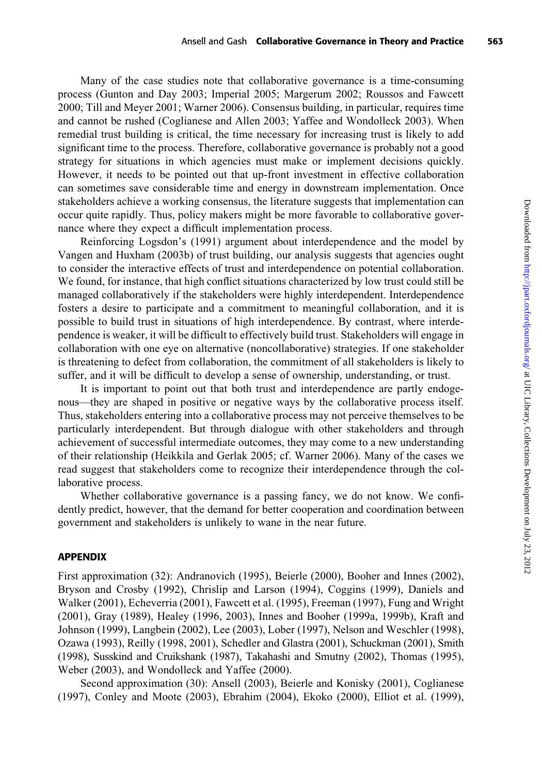Many of the case studies note that collaborative governance is a time-consuming process (Gunton and Day 2003; Imperial 2005; Margerum 2002; Roussos and Fawcett 2000; Till and Meyer 2001; Warner 2006). Consensus building, in particular, requires time and cannot be rushed (Coglianese and Allen 2003; Yaffee and Wondolleck 2003). When remedial trust building is critical, the time necessary for increasing trust is likely to add significant time to the process. Therefore, collaborative governance is probably not a good strategy for situations in which agencies must make or implement decisions quickly. However, it needs to be pointed out that up-front investment in effective collaboration can sometimes save considerable time and energy in downstream implementation. Once stakeholders achieve a working consensus, the literature suggests that implementation can occur quite rapidly. Thus, policy makers might be more favorable to collaborative governance where they expect a difficult implementation process.

Reinforcing Logsdon's (1991) argument about interdependence and the model by Vangen and Huxham (2003b) of trust building, our analysis suggests that agencies ought to consider the interactive effects of trust and interdependence on potential collaboration. We found, for instance, that high conflict situations characterized by low trust could still be managed collaboratively if the stakeholders were highly interdependent. Interdependence fosters a desire to participate and a commitment to meaningful collaboration, and it is possible to build trust in situations of high interdependence. By contrast, where interdependence is weaker, it will be difficult to effectively build trust. Stakeholders will engage in collaboration with one eye on alternative (noncollaborative) strategies. If one stakeholder is threatening to defect from collaboration, the commitment of all stakeholders is likely to suffer, and it will be difficult to develop a sense of ownership, understanding, or trust.

It is important to point out that both trust and interdependence are partly endogenous—they are shaped in positive or negative ways by the collaborative process itself. Thus, stakeholders entering into a collaborative process may not perceive themselves to be particularly interdependent. But through dialogue with other stakeholders and through achievement of successful intermediate outcomes, they may come to a new understanding of their relationship (Heikkila and Gerlak 2005; cf. Warner 2006). Many of the cases we read suggest that stakeholders come to recognize their interdependence through the collaborative process.

Whether collaborative governance is a passing fancy, we do not know. We confidently predict, however, that the demand for better cooperation and coordination between government and stakeholders is unlikely to wane in the near future.

#### APPENDIX

First approximation (32): Andranovich (1995), Beierle (2000), Booher and Innes (2002), Bryson and Crosby (1992), Chrislip and Larson (1994), Coggins (1999), Daniels and Walker (2001), Echeverria (2001), Fawcett et al. (1995), Freeman (1997), Fung and Wright (2001), Gray (1989), Healey (1996, 2003), Innes and Booher (1999a, 1999b), Kraft and Johnson (1999), Langbein (2002), Lee (2003), Lober (1997), Nelson and Weschler (1998), Ozawa (1993), Reilly (1998, 2001), Schedler and Glastra (2001), Schuckman (2001), Smith (1998), Susskind and Cruikshank (1987), Takahashi and Smutny (2002), Thomas (1995), Weber (2003), and Wondolleck and Yaffee (2000).

Second approximation (30): Ansell (2003), Beierle and Konisky (2001), Coglianese (1997), Conley and Moote (2003), Ebrahim (2004), Ekoko (2000), Elliot et al. (1999),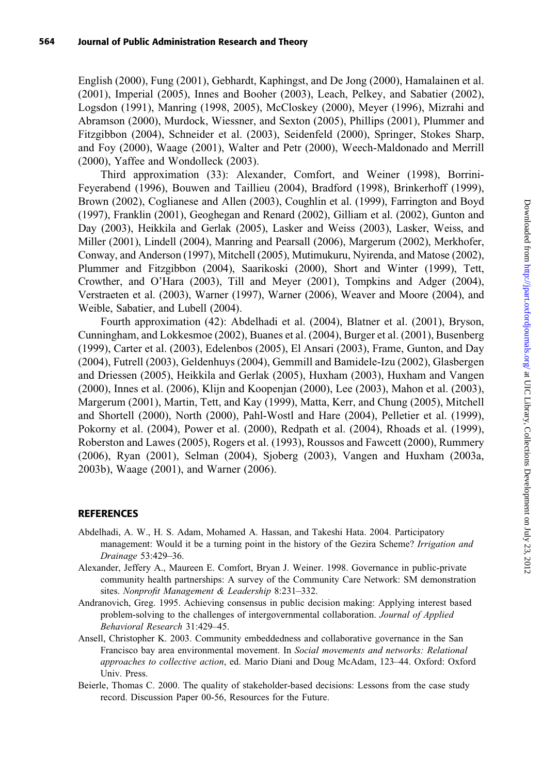English (2000), Fung (2001), Gebhardt, Kaphingst, and De Jong (2000), Hamalainen et al. (2001), Imperial (2005), Innes and Booher (2003), Leach, Pelkey, and Sabatier (2002), Logsdon (1991), Manring (1998, 2005), McCloskey (2000), Meyer (1996), Mizrahi and Abramson (2000), Murdock, Wiessner, and Sexton (2005), Phillips (2001), Plummer and Fitzgibbon (2004), Schneider et al. (2003), Seidenfeld (2000), Springer, Stokes Sharp, and Foy (2000), Waage (2001), Walter and Petr (2000), Weech-Maldonado and Merrill (2000), Yaffee and Wondolleck (2003).

Third approximation (33): Alexander, Comfort, and Weiner (1998), Borrini-Feyerabend (1996), Bouwen and Taillieu (2004), Bradford (1998), Brinkerhoff (1999), Brown (2002), Coglianese and Allen (2003), Coughlin et al. (1999), Farrington and Boyd (1997), Franklin (2001), Geoghegan and Renard (2002), Gilliam et al. (2002), Gunton and Day (2003), Heikkila and Gerlak (2005), Lasker and Weiss (2003), Lasker, Weiss, and Miller (2001), Lindell (2004), Manring and Pearsall (2006), Margerum (2002), Merkhofer, Conway, and Anderson (1997), Mitchell (2005), Mutimukuru, Nyirenda, and Matose (2002), Plummer and Fitzgibbon (2004), Saarikoski (2000), Short and Winter (1999), Tett, Crowther, and O'Hara (2003), Till and Meyer (2001), Tompkins and Adger (2004), Verstraeten et al. (2003), Warner (1997), Warner (2006), Weaver and Moore (2004), and Weible, Sabatier, and Lubell (2004).

Fourth approximation (42): Abdelhadi et al. (2004), Blatner et al. (2001), Bryson, Cunningham, and Lokkesmoe (2002), Buanes et al. (2004), Burger et al. (2001), Busenberg (1999), Carter et al. (2003), Edelenbos (2005), El Ansari (2003), Frame, Gunton, and Day (2004), Futrell (2003), Geldenhuys (2004), Gemmill and Bamidele-Izu (2002), Glasbergen and Driessen (2005), Heikkila and Gerlak (2005), Huxham (2003), Huxham and Vangen (2000), Innes et al. (2006), Klijn and Koopenjan (2000), Lee (2003), Mahon et al. (2003), Margerum (2001), Martin, Tett, and Kay (1999), Matta, Kerr, and Chung (2005), Mitchell and Shortell (2000), North (2000), Pahl-Wostl and Hare (2004), Pelletier et al. (1999), Pokorny et al. (2004), Power et al. (2000), Redpath et al. (2004), Rhoads et al. (1999), Roberston and Lawes (2005), Rogers et al. (1993), Roussos and Fawcett (2000), Rummery (2006), Ryan (2001), Selman (2004), Sjoberg (2003), Vangen and Huxham (2003a, 2003b), Waage (2001), and Warner (2006).

## REFERENCES

- Abdelhadi, A. W., H. S. Adam, Mohamed A. Hassan, and Takeshi Hata. 2004. Participatory management: Would it be a turning point in the history of the Gezira Scheme? Irrigation and Drainage 53:429–36.
- Alexander, Jeffery A., Maureen E. Comfort, Bryan J. Weiner. 1998. Governance in public-private community health partnerships: A survey of the Community Care Network: SM demonstration sites. Nonprofit Management & Leadership 8:231–332.
- Andranovich, Greg. 1995. Achieving consensus in public decision making: Applying interest based problem-solving to the challenges of intergovernmental collaboration. Journal of Applied Behavioral Research 31:429–45.
- Ansell, Christopher K. 2003. Community embeddedness and collaborative governance in the San Francisco bay area environmental movement. In Social movements and networks: Relational approaches to collective action, ed. Mario Diani and Doug McAdam, 123–44. Oxford: Oxford Univ. Press.
- Beierle, Thomas C. 2000. The quality of stakeholder-based decisions: Lessons from the case study record. Discussion Paper 00-56, Resources for the Future.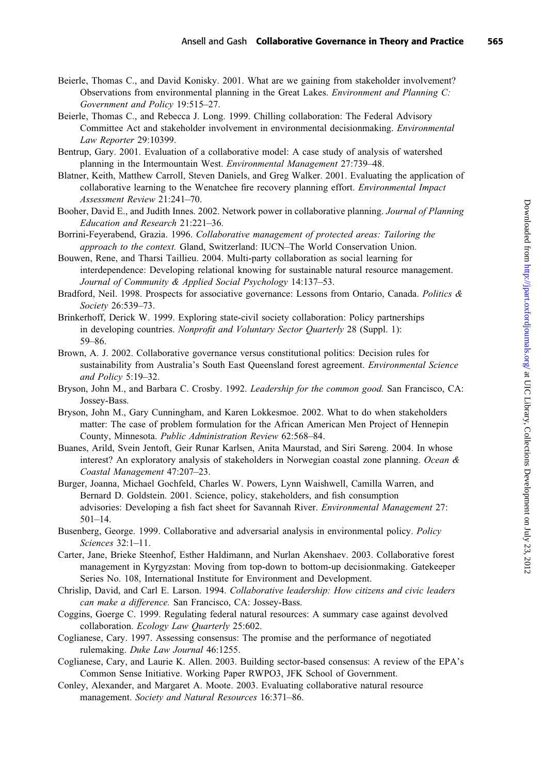- Beierle, Thomas C., and David Konisky. 2001. What are we gaining from stakeholder involvement? Observations from environmental planning in the Great Lakes. Environment and Planning C: Government and Policy 19:515–27.
- Beierle, Thomas C., and Rebecca J. Long. 1999. Chilling collaboration: The Federal Advisory Committee Act and stakeholder involvement in environmental decisionmaking. Environmental Law Reporter 29:10399.
- Bentrup, Gary. 2001. Evaluation of a collaborative model: A case study of analysis of watershed planning in the Intermountain West. Environmental Management 27:739–48.
- Blatner, Keith, Matthew Carroll, Steven Daniels, and Greg Walker. 2001. Evaluating the application of collaborative learning to the Wenatchee fire recovery planning effort. Environmental Impact Assessment Review 21:241–70.
- Booher, David E., and Judith Innes. 2002. Network power in collaborative planning. Journal of Planning Education and Research 21:221–36.
- Borrini-Feyerabend, Grazia. 1996. Collaborative management of protected areas: Tailoring the approach to the context. Gland, Switzerland: IUCN–The World Conservation Union.
- Bouwen, Rene, and Tharsi Taillieu. 2004. Multi-party collaboration as social learning for interdependence: Developing relational knowing for sustainable natural resource management. Journal of Community & Applied Social Psychology 14:137–53.
- Bradford, Neil. 1998. Prospects for associative governance: Lessons from Ontario, Canada. Politics & Society 26:539–73.
- Brinkerhoff, Derick W. 1999. Exploring state-civil society collaboration: Policy partnerships in developing countries. Nonprofit and Voluntary Sector Quarterly 28 (Suppl. 1): 59–86.
- Brown, A. J. 2002. Collaborative governance versus constitutional politics: Decision rules for sustainability from Australia's South East Queensland forest agreement. Environmental Science and Policy 5:19–32.
- Bryson, John M., and Barbara C. Crosby. 1992. Leadership for the common good. San Francisco, CA: Jossey-Bass.
- Bryson, John M., Gary Cunningham, and Karen Lokkesmoe. 2002. What to do when stakeholders matter: The case of problem formulation for the African American Men Project of Hennepin County, Minnesota. Public Administration Review 62:568–84.
- Buanes, Arild, Svein Jentoft, Geir Runar Karlsen, Anita Maurstad, and Siri Søreng. 2004. In whose interest? An exploratory analysis of stakeholders in Norwegian coastal zone planning. Ocean & Coastal Management 47:207–23.
- Burger, Joanna, Michael Gochfeld, Charles W. Powers, Lynn Waishwell, Camilla Warren, and Bernard D. Goldstein. 2001. Science, policy, stakeholders, and fish consumption advisories: Developing a fish fact sheet for Savannah River. Environmental Management 27: 501–14.
- Busenberg, George. 1999. Collaborative and adversarial analysis in environmental policy. Policy Sciences 32:1–11.
- Carter, Jane, Brieke Steenhof, Esther Haldimann, and Nurlan Akenshaev. 2003. Collaborative forest management in Kyrgyzstan: Moving from top-down to bottom-up decisionmaking. Gatekeeper Series No. 108, International Institute for Environment and Development.
- Chrislip, David, and Carl E. Larson. 1994. Collaborative leadership: How citizens and civic leaders can make a difference. San Francisco, CA: Jossey-Bass.
- Coggins, Goerge C. 1999. Regulating federal natural resources: A summary case against devolved collaboration. Ecology Law Quarterly 25:602.
- Coglianese, Cary. 1997. Assessing consensus: The promise and the performance of negotiated rulemaking. Duke Law Journal 46:1255.
- Coglianese, Cary, and Laurie K. Allen. 2003. Building sector-based consensus: A review of the EPA's Common Sense Initiative. Working Paper RWPO3, JFK School of Government.
- Conley, Alexander, and Margaret A. Moote. 2003. Evaluating collaborative natural resource management. Society and Natural Resources 16:371–86.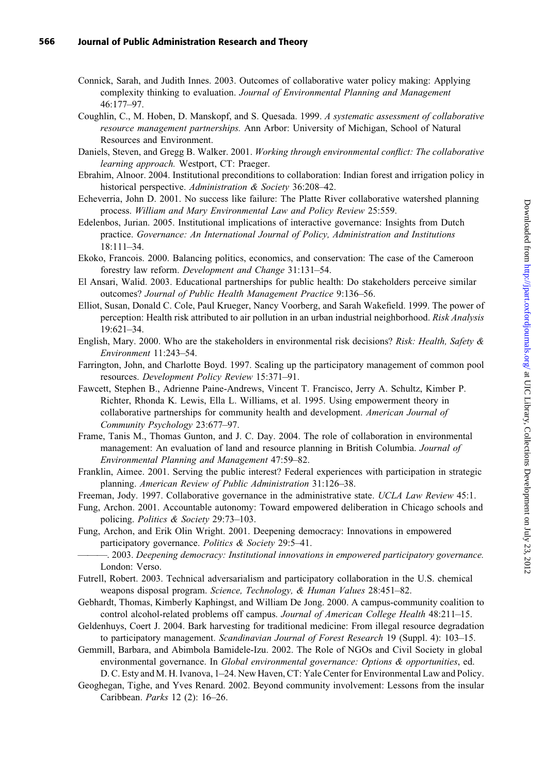#### 566 Journal of Public Administration Research and Theory

- Connick, Sarah, and Judith Innes. 2003. Outcomes of collaborative water policy making: Applying complexity thinking to evaluation. Journal of Environmental Planning and Management 46:177–97.
- Coughlin, C., M. Hoben, D. Manskopf, and S. Quesada. 1999. A systematic assessment of collaborative resource management partnerships. Ann Arbor: University of Michigan, School of Natural Resources and Environment.
- Daniels, Steven, and Gregg B. Walker. 2001. Working through environmental conflict: The collaborative learning approach. Westport, CT: Praeger.
- Ebrahim, Alnoor. 2004. Institutional preconditions to collaboration: Indian forest and irrigation policy in historical perspective. Administration & Society 36:208-42.
- Echeverria, John D. 2001. No success like failure: The Platte River collaborative watershed planning process. William and Mary Environmental Law and Policy Review 25:559.
- Edelenbos, Jurian. 2005. Institutional implications of interactive governance: Insights from Dutch practice. Governance: An International Journal of Policy, Administration and Institutions 18:111–34.
- Ekoko, Francois. 2000. Balancing politics, economics, and conservation: The case of the Cameroon forestry law reform. Development and Change 31:131–54.
- El Ansari, Walid. 2003. Educational partnerships for public health: Do stakeholders perceive similar outcomes? Journal of Public Health Management Practice 9:136–56.
- Elliot, Susan, Donald C. Cole, Paul Krueger, Nancy Voorberg, and Sarah Wakefield. 1999. The power of perception: Health risk attributed to air pollution in an urban industrial neighborhood. Risk Analysis 19:621–34.
- English, Mary. 2000. Who are the stakeholders in environmental risk decisions? Risk: Health, Safety & Environment 11:243–54.
- Farrington, John, and Charlotte Boyd. 1997. Scaling up the participatory management of common pool resources. Development Policy Review 15:371–91.
- Fawcett, Stephen B., Adrienne Paine-Andrews, Vincent T. Francisco, Jerry A. Schultz, Kimber P. Richter, Rhonda K. Lewis, Ella L. Williams, et al. 1995. Using empowerment theory in collaborative partnerships for community health and development. American Journal of Community Psychology 23:677–97.
- Frame, Tanis M., Thomas Gunton, and J. C. Day. 2004. The role of collaboration in environmental management: An evaluation of land and resource planning in British Columbia. Journal of Environmental Planning and Management 47:59–82.
- Franklin, Aimee. 2001. Serving the public interest? Federal experiences with participation in strategic planning. American Review of Public Administration 31:126–38.
- Freeman, Jody. 1997. Collaborative governance in the administrative state. UCLA Law Review 45:1.
- Fung, Archon. 2001. Accountable autonomy: Toward empowered deliberation in Chicago schools and policing. Politics & Society 29:73–103.
- Fung, Archon, and Erik Olin Wright. 2001. Deepening democracy: Innovations in empowered participatory governance. Politics & Society 29:5-41.
- ———. 2003. Deepening democracy: Institutional innovations in empowered participatory governance. London: Verso.
- Futrell, Robert. 2003. Technical adversarialism and participatory collaboration in the U.S. chemical weapons disposal program. Science, Technology, & Human Values 28:451–82.
- Gebhardt, Thomas, Kimberly Kaphingst, and William De Jong. 2000. A campus-community coalition to control alcohol-related problems off campus. Journal of American College Health 48:211-15.
- Geldenhuys, Coert J. 2004. Bark harvesting for traditional medicine: From illegal resource degradation to participatory management. Scandinavian Journal of Forest Research 19 (Suppl. 4): 103-15.
- Gemmill, Barbara, and Abimbola Bamidele-Izu. 2002. The Role of NGOs and Civil Society in global environmental governance. In Global environmental governance: Options & opportunities, ed. D. C. Esty and M. H. Ivanova, 1–24. New Haven, CT: Yale Center for Environmental Law and Policy.
- Geoghegan, Tighe, and Yves Renard. 2002. Beyond community involvement: Lessons from the insular Caribbean. Parks 12 (2): 16–26.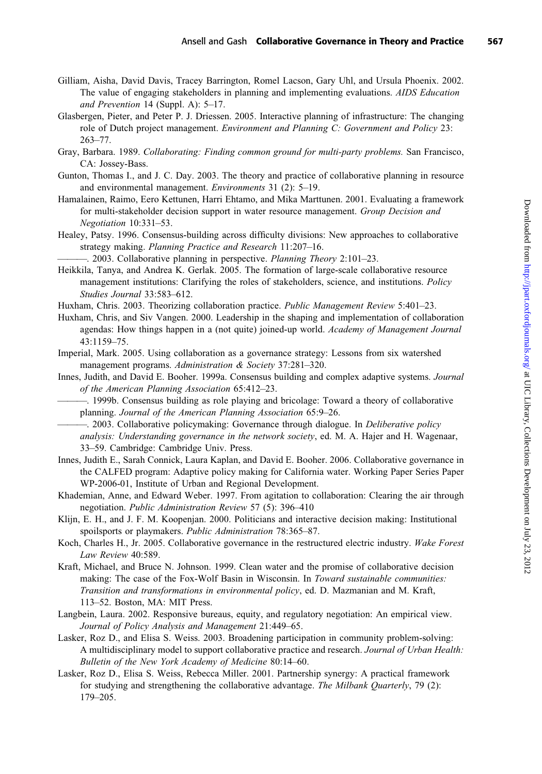- Gilliam, Aisha, David Davis, Tracey Barrington, Romel Lacson, Gary Uhl, and Ursula Phoenix. 2002. The value of engaging stakeholders in planning and implementing evaluations. AIDS Education and Prevention 14 (Suppl. A): 5–17.
- Glasbergen, Pieter, and Peter P. J. Driessen. 2005. Interactive planning of infrastructure: The changing role of Dutch project management. Environment and Planning C: Government and Policy 23: 263–77.
- Gray, Barbara. 1989. Collaborating: Finding common ground for multi-party problems. San Francisco, CA: Jossey-Bass.
- Gunton, Thomas I., and J. C. Day. 2003. The theory and practice of collaborative planning in resource and environmental management. Environments 31 (2): 5–19.
- Hamalainen, Raimo, Eero Kettunen, Harri Ehtamo, and Mika Marttunen. 2001. Evaluating a framework for multi-stakeholder decision support in water resource management. Group Decision and Negotiation 10:331–53.
- Healey, Patsy. 1996. Consensus-building across difficulty divisions: New approaches to collaborative strategy making. Planning Practice and Research 11:207–16.

-. 2003. Collaborative planning in perspective. Planning Theory 2:101-23.

- Heikkila, Tanya, and Andrea K. Gerlak. 2005. The formation of large-scale collaborative resource management institutions: Clarifying the roles of stakeholders, science, and institutions. Policy Studies Journal 33:583–612.
- Huxham, Chris. 2003. Theorizing collaboration practice. Public Management Review 5:401–23.
- Huxham, Chris, and Siv Vangen. 2000. Leadership in the shaping and implementation of collaboration agendas: How things happen in a (not quite) joined-up world. Academy of Management Journal 43:1159–75.
- Imperial, Mark. 2005. Using collaboration as a governance strategy: Lessons from six watershed management programs. Administration & Society 37:281–320.
- Innes, Judith, and David E. Booher. 1999a. Consensus building and complex adaptive systems. Journal of the American Planning Association 65:412–23.
- ———. 1999b. Consensus building as role playing and bricolage: Toward a theory of collaborative planning. Journal of the American Planning Association 65:9–26.
- 2003. Collaborative policymaking: Governance through dialogue. In *Deliberative policy* analysis: Understanding governance in the network society, ed. M. A. Hajer and H. Wagenaar, 33–59. Cambridge: Cambridge Univ. Press.
- Innes, Judith E., Sarah Connick, Laura Kaplan, and David E. Booher. 2006. Collaborative governance in the CALFED program: Adaptive policy making for California water. Working Paper Series Paper WP-2006-01, Institute of Urban and Regional Development.
- Khademian, Anne, and Edward Weber. 1997. From agitation to collaboration: Clearing the air through negotiation. Public Administration Review 57 (5): 396–410
- Klijn, E. H., and J. F. M. Koopenjan. 2000. Politicians and interactive decision making: Institutional spoilsports or playmakers. Public Administration 78:365–87.
- Koch, Charles H., Jr. 2005. Collaborative governance in the restructured electric industry. Wake Forest Law Review 40:589.
- Kraft, Michael, and Bruce N. Johnson. 1999. Clean water and the promise of collaborative decision making: The case of the Fox-Wolf Basin in Wisconsin. In Toward sustainable communities: Transition and transformations in environmental policy, ed. D. Mazmanian and M. Kraft, 113–52. Boston, MA: MIT Press.
- Langbein, Laura. 2002. Responsive bureaus, equity, and regulatory negotiation: An empirical view. Journal of Policy Analysis and Management 21:449–65.
- Lasker, Roz D., and Elisa S. Weiss. 2003. Broadening participation in community problem-solving: A multidisciplinary model to support collaborative practice and research. Journal of Urban Health: Bulletin of the New York Academy of Medicine 80:14–60.
- Lasker, Roz D., Elisa S. Weiss, Rebecca Miller. 2001. Partnership synergy: A practical framework for studying and strengthening the collaborative advantage. The Milbank Quarterly, 79 (2): 179–205.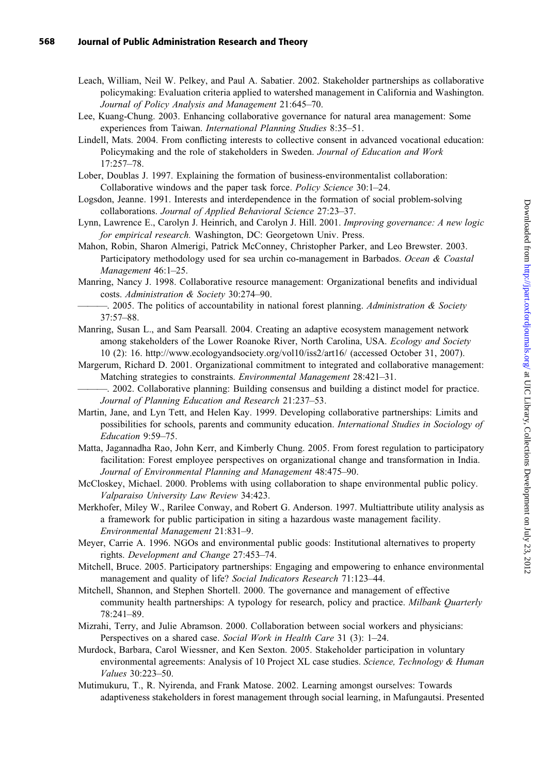- Leach, William, Neil W. Pelkey, and Paul A. Sabatier. 2002. Stakeholder partnerships as collaborative policymaking: Evaluation criteria applied to watershed management in California and Washington. Journal of Policy Analysis and Management 21:645–70.
- Lee, Kuang-Chung. 2003. Enhancing collaborative governance for natural area management: Some experiences from Taiwan. International Planning Studies 8:35–51.
- Lindell, Mats. 2004. From conflicting interests to collective consent in advanced vocational education: Policymaking and the role of stakeholders in Sweden. Journal of Education and Work 17:257–78.
- Lober, Doublas J. 1997. Explaining the formation of business-environmentalist collaboration: Collaborative windows and the paper task force. Policy Science 30:1–24.
- Logsdon, Jeanne. 1991. Interests and interdependence in the formation of social problem-solving collaborations. Journal of Applied Behavioral Science 27:23–37.
- Lynn, Lawrence E., Carolyn J. Heinrich, and Carolyn J. Hill. 2001. Improving governance: A new logic for empirical research. Washington, DC: Georgetown Univ. Press.
- Mahon, Robin, Sharon Almerigi, Patrick McConney, Christopher Parker, and Leo Brewster. 2003. Participatory methodology used for sea urchin co-management in Barbados. Ocean & Coastal Management 46:1–25.
- Manring, Nancy J. 1998. Collaborative resource management: Organizational benefits and individual costs. Administration & Society 30:274–90.

- Manring, Susan L., and Sam Pearsall. 2004. Creating an adaptive ecosystem management network among stakeholders of the Lower Roanoke River, North Carolina, USA. Ecology and Society 10 (2): 16. [http://www.ecologyandsociety.org/vol10/iss2/art16/ \(](http://www.ecologyandsociety.org/vol10/iss2/art16/)accessed October 31, 2007).
- Margerum, Richard D. 2001. Organizational commitment to integrated and collaborative management: Matching strategies to constraints. Environmental Management 28:421–31.
- ———. 2002. Collaborative planning: Building consensus and building a distinct model for practice. Journal of Planning Education and Research 21:237–53.
- Martin, Jane, and Lyn Tett, and Helen Kay. 1999. Developing collaborative partnerships: Limits and possibilities for schools, parents and community education. International Studies in Sociology of Education 9:59–75.
- Matta, Jagannadha Rao, John Kerr, and Kimberly Chung. 2005. From forest regulation to participatory facilitation: Forest employee perspectives on organizational change and transformation in India. Journal of Environmental Planning and Management 48:475–90.
- McCloskey, Michael. 2000. Problems with using collaboration to shape environmental public policy. Valparaiso University Law Review 34:423.
- Merkhofer, Miley W., Rarilee Conway, and Robert G. Anderson. 1997. Multiattribute utility analysis as a framework for public participation in siting a hazardous waste management facility. Environmental Management 21:831–9.
- Meyer, Carrie A. 1996. NGOs and environmental public goods: Institutional alternatives to property rights. Development and Change 27:453–74.
- Mitchell, Bruce. 2005. Participatory partnerships: Engaging and empowering to enhance environmental management and quality of life? Social Indicators Research 71:123–44.
- Mitchell, Shannon, and Stephen Shortell. 2000. The governance and management of effective community health partnerships: A typology for research, policy and practice. Milbank Quarterly 78:241–89.
- Mizrahi, Terry, and Julie Abramson. 2000. Collaboration between social workers and physicians: Perspectives on a shared case. Social Work in Health Care 31 (3): 1–24.
- Murdock, Barbara, Carol Wiessner, and Ken Sexton. 2005. Stakeholder participation in voluntary environmental agreements: Analysis of 10 Project XL case studies. Science, Technology & Human Values 30:223–50.
- Mutimukuru, T., R. Nyirenda, and Frank Matose. 2002. Learning amongst ourselves: Towards adaptiveness stakeholders in forest management through social learning, in Mafungautsi. Presented

 $-$  2005. The politics of accountability in national forest planning. Administration & Society 37:57–88.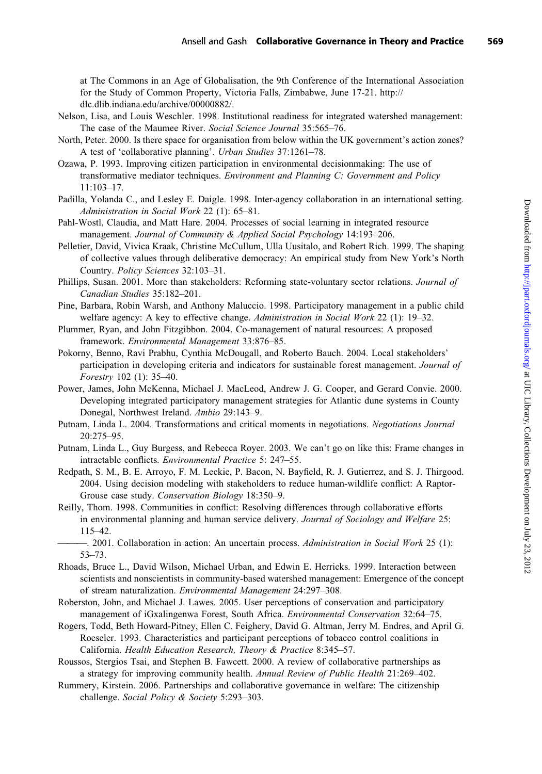at The Commons in an Age of Globalisation, the 9th Conference of the International Association for the Study of Common Property, Victoria Falls, Zimbabwe, June 17-21. [http://](http://dlc.dlib.indiana.edu/archive/00000882/) [dlc.dlib.indiana.edu/archive/00000882/.](http://dlc.dlib.indiana.edu/archive/00000882/)

- Nelson, Lisa, and Louis Weschler. 1998. Institutional readiness for integrated watershed management: The case of the Maumee River. Social Science Journal 35:565–76.
- North, Peter. 2000. Is there space for organisation from below within the UK government's action zones? A test of 'collaborative planning'. Urban Studies 37:1261–78.
- Ozawa, P. 1993. Improving citizen participation in environmental decisionmaking: The use of transformative mediator techniques. Environment and Planning C: Government and Policy 11:103–17.
- Padilla, Yolanda C., and Lesley E. Daigle. 1998. Inter-agency collaboration in an international setting. Administration in Social Work 22 (1): 65–81.
- Pahl-Wostl, Claudia, and Matt Hare. 2004. Processes of social learning in integrated resource management. Journal of Community & Applied Social Psychology 14:193-206.
- Pelletier, David, Vivica Kraak, Christine McCullum, Ulla Uusitalo, and Robert Rich. 1999. The shaping of collective values through deliberative democracy: An empirical study from New York's North Country. Policy Sciences 32:103–31.
- Phillips, Susan. 2001. More than stakeholders: Reforming state-voluntary sector relations. Journal of Canadian Studies 35:182–201.
- Pine, Barbara, Robin Warsh, and Anthony Maluccio. 1998. Participatory management in a public child welfare agency: A key to effective change. Administration in Social Work 22 (1): 19–32.
- Plummer, Ryan, and John Fitzgibbon. 2004. Co-management of natural resources: A proposed framework. Environmental Management 33:876–85.
- Pokorny, Benno, Ravi Prabhu, Cynthia McDougall, and Roberto Bauch. 2004. Local stakeholders' participation in developing criteria and indicators for sustainable forest management. Journal of Forestry 102 (1): 35–40.
- Power, James, John McKenna, Michael J. MacLeod, Andrew J. G. Cooper, and Gerard Convie. 2000. Developing integrated participatory management strategies for Atlantic dune systems in County Donegal, Northwest Ireland. Ambio 29:143–9.
- Putnam, Linda L. 2004. Transformations and critical moments in negotiations. Negotiations Journal 20:275–95.
- Putnam, Linda L., Guy Burgess, and Rebecca Royer. 2003. We can't go on like this: Frame changes in intractable conflicts. Environmental Practice 5: 247–55.
- Redpath, S. M., B. E. Arroyo, F. M. Leckie, P. Bacon, N. Bayfield, R. J. Gutierrez, and S. J. Thirgood. 2004. Using decision modeling with stakeholders to reduce human-wildlife conflict: A Raptor-Grouse case study. Conservation Biology 18:350–9.
- Reilly, Thom. 1998. Communities in conflict: Resolving differences through collaborative efforts in environmental planning and human service delivery. Journal of Sociology and Welfare 25: 115–42.
- ———. 2001. Collaboration in action: An uncertain process. Administration in Social Work 25 (1): 53–73.
- Rhoads, Bruce L., David Wilson, Michael Urban, and Edwin E. Herricks. 1999. Interaction between scientists and nonscientists in community-based watershed management: Emergence of the concept of stream naturalization. Environmental Management 24:297–308.
- Roberston, John, and Michael J. Lawes. 2005. User perceptions of conservation and participatory management of iGxalingenwa Forest, South Africa. Environmental Conservation 32:64–75.
- Rogers, Todd, Beth Howard-Pitney, Ellen C. Feighery, David G. Altman, Jerry M. Endres, and April G. Roeseler. 1993. Characteristics and participant perceptions of tobacco control coalitions in California. Health Education Research, Theory & Practice 8:345–57.
- Roussos, Stergios Tsai, and Stephen B. Fawcett. 2000. A review of collaborative partnerships as a strategy for improving community health. Annual Review of Public Health 21:269–402.
- Rummery, Kirstein. 2006. Partnerships and collaborative governance in welfare: The citizenship challenge. Social Policy & Society 5:293–303.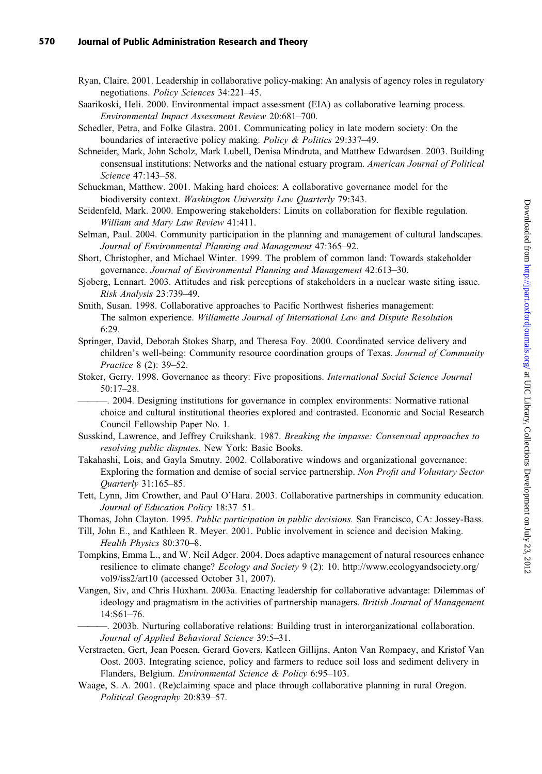#### 570 Journal of Public Administration Research and Theory

- Ryan, Claire. 2001. Leadership in collaborative policy-making: An analysis of agency roles in regulatory negotiations. Policy Sciences 34:221–45.
- Saarikoski, Heli. 2000. Environmental impact assessment (EIA) as collaborative learning process. Environmental Impact Assessment Review 20:681–700.
- Schedler, Petra, and Folke Glastra. 2001. Communicating policy in late modern society: On the boundaries of interactive policy making. Policy & Politics 29:337–49.
- Schneider, Mark, John Scholz, Mark Lubell, Denisa Mindruta, and Matthew Edwardsen. 2003. Building consensual institutions: Networks and the national estuary program. American Journal of Political Science 47:143–58.
- Schuckman, Matthew. 2001. Making hard choices: A collaborative governance model for the biodiversity context. Washington University Law Quarterly 79:343.
- Seidenfeld, Mark. 2000. Empowering stakeholders: Limits on collaboration for flexible regulation. William and Mary Law Review 41:411.
- Selman, Paul. 2004. Community participation in the planning and management of cultural landscapes. Journal of Environmental Planning and Management 47:365–92.
- Short, Christopher, and Michael Winter. 1999. The problem of common land: Towards stakeholder governance. Journal of Environmental Planning and Management 42:613–30.
- Sjoberg, Lennart. 2003. Attitudes and risk perceptions of stakeholders in a nuclear waste siting issue. Risk Analysis 23:739–49.
- Smith, Susan. 1998. Collaborative approaches to Pacific Northwest fisheries management: The salmon experience. Willamette Journal of International Law and Dispute Resolution 6:29.
- Springer, David, Deborah Stokes Sharp, and Theresa Foy. 2000. Coordinated service delivery and children's well-being: Community resource coordination groups of Texas. Journal of Community Practice 8 (2): 39–52.
- Stoker, Gerry. 1998. Governance as theory: Five propositions. International Social Science Journal 50:17–28.
	- ———. 2004. Designing institutions for governance in complex environments: Normative rational choice and cultural institutional theories explored and contrasted. Economic and Social Research Council Fellowship Paper No. 1.
- Susskind, Lawrence, and Jeffrey Cruikshank. 1987. Breaking the impasse: Consensual approaches to resolving public disputes. New York: Basic Books.
- Takahashi, Lois, and Gayla Smutny. 2002. Collaborative windows and organizational governance: Exploring the formation and demise of social service partnership. Non Profit and Voluntary Sector Quarterly 31:165–85.
- Tett, Lynn, Jim Crowther, and Paul O'Hara. 2003. Collaborative partnerships in community education. Journal of Education Policy 18:37–51.

Thomas, John Clayton. 1995. Public participation in public decisions. San Francisco, CA: Jossey-Bass.

- Till, John E., and Kathleen R. Meyer. 2001. Public involvement in science and decision Making. Health Physics 80:370–8.
- Tompkins, Emma L., and W. Neil Adger. 2004. Does adaptive management of natural resources enhance resilience to climate change? *Ecology and Society* 9 (2): 10. [http://www.ecologyandsociety.org/](http://www.ecologyandsociety.org/vol9/iss2/art10) [vol9/iss2/art10](http://www.ecologyandsociety.org/vol9/iss2/art10) (accessed October 31, 2007).
- Vangen, Siv, and Chris Huxham. 2003a. Enacting leadership for collaborative advantage: Dilemmas of ideology and pragmatism in the activities of partnership managers. British Journal of Management 14:S61–76.
	- ———. 2003b. Nurturing collaborative relations: Building trust in interorganizational collaboration. Journal of Applied Behavioral Science 39:5–31.
- Verstraeten, Gert, Jean Poesen, Gerard Govers, Katleen Gillijns, Anton Van Rompaey, and Kristof Van Oost. 2003. Integrating science, policy and farmers to reduce soil loss and sediment delivery in Flanders, Belgium. Environmental Science & Policy 6:95–103.
- Waage, S. A. 2001. (Re)claiming space and place through collaborative planning in rural Oregon. Political Geography 20:839–57.